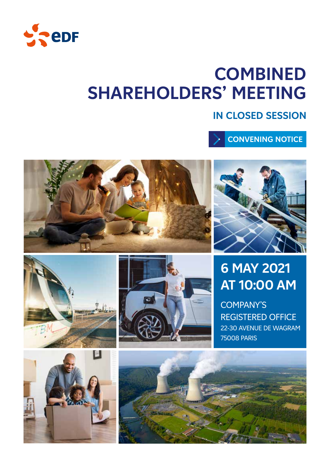

# **COMBINED SHAREHOLDERS' MEETING**

## **IN CLOSED SESSION**

**CONVENING NOTICE**





## **6 MAY 2021 AT 10:00 AM**

COMPANY'S REGISTERED OFFICE 22-30 AVENUE DE WAGRAM 75008 PARIS





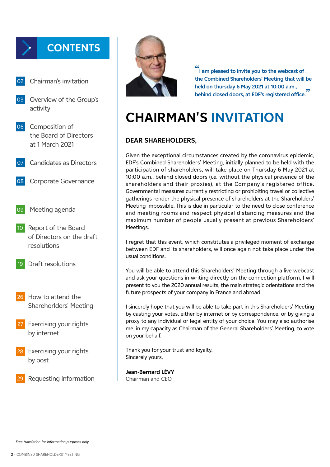## **CONTENTS**

- Chairman's invitation
- 03 Overview of the Group's activity
- 06 Composition of the Board of Directors at 1 March 2021
- 07 Candidates as Directors
- 08 Corporate Governance
- 09 Meeting agenda
- 10 Report of the Board of Directors on the draft resolutions
- 19 Draft resolutions
- 26 How to attend the Sharehorlders' Meeting
- Exercising your rights by internet
- Exercising your rights by post
- Requesting information



**" I am pleased to invite you to the webcast of the Combined Shareholders' Meeting that will be held on thursday 6 May 2021 at 10:00 a.m., behind closed doors, at EDF's registered office. "**

## **CHAIRMAN'S INVITATION**

### **DEAR SHAREHOLDERS,**

Given the exceptional circumstances created by the coronavirus epidemic, EDF's Combined Shareholders' Meeting, initially planned to be held with the participation of shareholders, will take place on Thursday 6 May 2021 at 10:00 a.m., behind closed doors (*i.e.* without the physical presence of the shareholders and their proxies), at the Company's registered office. Governmental measures currently restricting or prohibiting travel or collective gatherings render the physical presence of shareholders at the Shareholders' Meeting impossible. This is due in particular to the need to close conference and meeting rooms and respect physical distancing measures and the maximum number of people usually present at previous Shareholders' Meetings.

I regret that this event, which constitutes a privileged moment of exchange between EDF and its shareholders, will once again not take place under the usual conditions.

You will be able to attend this Shareholders' Meeting through a live webcast and ask your questions in writing directly on the connection platform. I will present to you the 2020 annual results, the main strategic orientations and the future prospects of your company in France and abroad.

I sincerely hope that you will be able to take part in this Shareholders' Meeting by casting your votes, either by internet or by correspondence, or by giving a proxy to any individual or legal entity of your choice. You may also authorise me, in my capacity as Chairman of the General Shareholders' Meeting, to vote on your behalf.

Thank you for your trust and loyalty. Sincerely yours,

**Jean-Bernard LÉVY** Chairman and CEO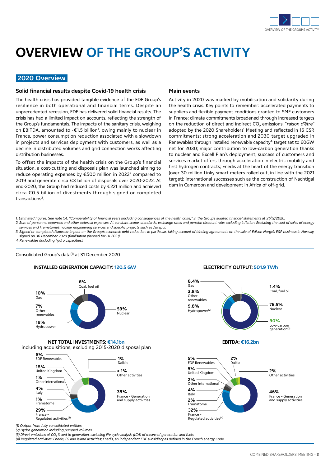

## **OVERVIEW OF THE GROUP'S ACTIVITY**

#### **2020 Overview**

#### **Solid financial results despite Covid-19 health crisis**

The health crisis has provided tangible evidence of the EDF Group's resilience in both operational and financial terms. Despite an unprecedented recession, EDF has delivered solid financial results. The crisis has had a limited impact on accounts, reflecting the strength of the Group's fundamentals. The impacts of the sanitary crisis, weighing on EBITDA, amounted to -€1.5 billion<sup>1</sup>, owing mainly to nuclear in France, power consumption reduction associated with a slowdown in projects and services deployment with customers, as well as a decline in distributed volumes and grid connection works affecting distribution businesses.

To offset the impacts of the health crisis on the Group's financial situation, a cost-cutting and disposals plan was launched aiming to reduce operating expenses by €500 million in 2022<sup>2</sup> compared to 2019 and generate circa €3 billion of disposals over 2020-2022. At end-2020, the Group had reduced costs by €221 million and achieved circa €0.5 billion of divestments through signed or completed transactions3.

#### **Main events**

Activity in 2020 was marked by mobilisation and solidarity during the health crisis. Key points to remember: accelerated payments to suppliers and flexible payment conditions granted to SME customers in France; climate commitments broadened through increased targets on the reduction of direct and indirect CO<sub>2</sub> emissions, "*raison d'être*" adopted by the 2020 Shareholders' Meeting and reflected in 16 CSR commitments; strong acceleration and 2030 target upgraded in Renewables through installed renewable capacity<sup>4</sup> target set to 60GW net for 2030; major contribution to low-carbon generation thanks to nuclear and Excell Plan's deployment; success of customers and services market offers through acceleration in electric mobility and first hydrogen contracts; Enedis at the heart of the energy transition (over 30 million Linky smart meters rolled out, in line with the 2021 target); international successes such as the construction of Nachtigal dam in Cameroon and development in Africa of off-grid.

*1. Estimated figures. See note 1.4. "Comparability of financial years (including consequences of the health crisis)" in the Group's audited financial statements at 31/12/2020.*

- *2. Sum of personnel expenses and other external expenses. At constant scope, standards, exchange rates and pension discount rate; excluding inflation. Excluding the cost of sales of energy services and Framatome's nuclear engineering services and specific projects such as Jaitapur.*
- *3. Signed or completed disposals: impact on the Group's economic debt reduction. In particular, taking account of binding agreements on the sale of Edison Norge's E&P business in Norway, signed on 30 December 2020 (finalisation planned for H1 2021).*

*4. Renewables (including hydro capacities).* 

Consolidated Group's data<sup>(1)</sup> at 31 December 2020





#### **NET TOTAL INVESTMENTS: €14.1bn**





*(1) Output from fully consolidated entities.*

*(2) Hydro generation including pumped volumes.*

(3) Direct emissions of CO<sub>2</sub> linked to generation, excluding life cycle analysis (LCA) of means of generation and fuels.

*(4) Regulated activities: Enedis, ÉS and island activities; Enedis, an independant EDF subsidiary as defined in the French energy Code.*

#### **ELECTRICITY OUTPUT: 501.9 TWh**



**EBITDA: €16.2bn**

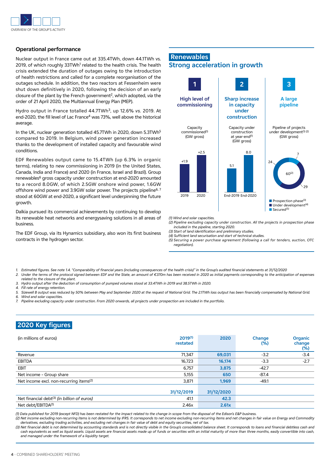

#### **Operational performance**

Nuclear output in France came out at 335.4TWh, down 44.1TWh vs. 2019, of which roughly 33TWh<sup>1</sup> related to the health crisis. The health crisis extended the duration of outages owing to the introduction of health restrictions and called for a complete reorganisation of the outages schedule. In addition, the two reactors at Fessenheim were shut down definitively in 2020, following the decision of an early closure of the plant by the French government2, which adopted, *via* the order of 21 April 2020, the Multiannual Energy Plan (MEP).

Hydro output in France totalled 44.7TWh3, up 12.6% *vs.* 2019. At end-2020, the fill level of Lac France<sup>4</sup> was 73%, well above the historical average.

In the UK, nuclear generation totalled 45.7TWh in 2020, down 5.3TWh5 compared to 2019. In Belgium, wind power generation increased thanks to the development of installed capacity and favourable wind conditions.

EDF Renewables output came to 15.4TWh (up 6.3% in organic terms), relating to new commissioning in 2019 (in the United States, Canada, India and France) and 2020 (in France, Israel and Brazil). Group renewables<sup>6</sup> gross capacity under construction at end-2020 amounted to a record 8.0GW, of which 2.5GW onshore wind power, 1.6GW offshore wind power and 3.9GW solar power. The projects pipeline<sup>6, 7</sup> stood at 60GW at end-2020, a significant level underpinning the future growth.

Dalkia pursued its commercial achievements by continuing to develop its renewable heat networks and energysaving solutions in all areas of business.

The EDF Group, via its Hynamics subsidiary, also won its first business contracts in the hydrogen sector.



*(1) Wind and solar capacities.*

- *(2) Pipeline excluding capacity under construction. All the projects in prospection phase included in the pipeline, starting 2020.*
- *(3) Start of land identification and preliminary studies.*
- *(4) Sufficient land securisation and start of technical studies. (5) Securing a power purchase agreement (following a call for tenders, auction, OTC*
- *negotiation).*
- *1. Estimated figures. See note 1.4. "Comparability of financial years (including consequences of the health crisis)" in the Group's audited financial statements at 31/12/2020*
- 2. Under the terms of the protocol signed between EDF and the State, an amount of €370m has been received in 2020 as initial payments corresponding to the anticipation of expenses *related to the closure of the plant.*
- *3. Hydro output after the deduction of consumption of pumped volumes stood at 33.4TWh in 2019 and 38.5TWh in 2020.*
- *4. Fill rate of energy retention.*
- 5. Sizewell B output was reduced by 50% between May and September 2020 at the request of National Grid. The 2.1TWh loss output has been financially compensated by National Grid.
- *6. Wind and solar capacities.*
- *7. Pipeline excluding capacity under construction. From 2020 onwards, all projects under prospection are included in the portfolio.*

### **2020 Key figures**

| (in millions of euros)                                  | 2019(1)<br>restated | 2020       | Change<br>$(\%)$ | <b>Organic</b><br>change<br>$(\%)$ |
|---------------------------------------------------------|---------------------|------------|------------------|------------------------------------|
| Revenue                                                 | 71.347              | 69,031     | $-3.2$           | $-3.4$                             |
| <b>EBITDA</b>                                           | 16,723              | 16.174     | $-3.3$           | $-2.7$                             |
| <b>EBIT</b>                                             | 6,757               | 3,875      | $-42.7$          |                                    |
| Net income - Group share                                | 5,155               | 650        | -87.4            |                                    |
| Net income excl. non-recurring items <sup>(2)</sup>     | 3,871               | 1,969      | $-49.1$          |                                    |
|                                                         | 31/12/2019          | 31/12/2020 |                  |                                    |
| Net financial debt <sup>(3)</sup> (in billion of euros) | 41.1                | 42.3       |                  |                                    |
| Net debt/EBITDA <sup>(1)</sup>                          | 2.46x               | 2.61x      |                  |                                    |

*(1) Data published for 2019 (except NFD) has been restated for the impact related to the change in scope from the disposal of the Edison's E&P business.* 

*(2) Net income excluding non-recurring items is not determined by IFRS. It corresponds to net income excluding non-recurring items and net changes in fair value on Energy and Commodity derivatives, excluding trading activities, and excluding net changes in fair value of debt and equity securities, net of tax.*

*(3) Net financial debt is not determined by accounting standards and is not directly visible in the Group's consolidated balance sheet. It corresponds to loans and financial debtless cash and*  cash equivalents as well as liquid assets. Liquid assets are financial assets made up of funds or securities with an initial maturity of more than three months, easily convertible into cash. *and managed under the framework of a liquidity target.*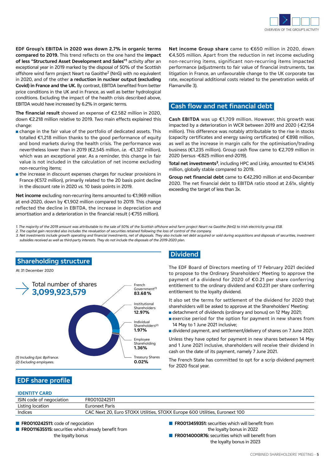

**EDF Group's EBITDA in 2020 was down 2.7% in organic terms compared to 2019.** This trend reflects on the one hand the **impact of less "Structured Asset Development and Sales"1** activity after an exceptional year in 2019 marked by the disposal of 50% of the Scottish offshore wind farm project Neart na Gaoithe2 (NnG) with no equivalent in 2020, and of the other **a reduction in nuclear output (excluding Covid) in France and the UK.** By contrast, EBITDA benefited from better price conditions in the UK and in France, as well as better hydrological conditions. Excluding the impact of the health crisis described above, EBITDA would have increased by 6.2% in organic terms.

**The financial result** showed an expense of €2.582 million in 2020, down €2.218 million relative to 2019. Two main effects explained this change:

- n change in the fair value of the portfolio of dedicated assets. This totalled €1,218 million thanks to the good performance of equity and bond markets during the health crisis. The performance was nevertheless lower than in 2019 (€2,545 million, *i.e.* -€1,327 million), which was an exceptional year. As a reminder, this change in fair value is not included in the calculation of net income excluding non-recurring items;
- $\blacksquare$  the increase in discount expenses charges for nuclear provisions in France (€572 million), primarily related to the 20 basis point decline in the discount rate in 2020 *vs.* 10 basis points in 2019.

**Net income** excluding non-recurring items amounted to €1,969 million at end-2020, down by €1,902 million compared to 2019. This change reflected the decline in EBITDA, the increase in depreciation and amortisation and a deterioration in the financial result (-€755 million).

**Net income Group share** came to €650 million in 2020, down €4,505 million. Apart from the reduction in net income excluding non-recurring items, significant non-recurring items impacted performance (adjustments to fair value of financial instruments, tax litigation in France, an unfavourable change to the UK corporate tax rate, exceptional additional costs related to the penetration welds of Flamanville 3).

### **Cash flow and net financial debt**

**Cash EBITDA** was up €1,709 million. However, this growth was impacted by a deterioration in WCR between 2019 and 2020 (-€2,154 million). This difference was notably attributable to the rise in stocks (capacity certificates and energy saving certificates) of €898 million, as well as the increase in margin calls for the optimisation/trading business (€1,235 million). Group cash flow came to €2,709 million in 2020 (versus -€825 million end-2019).

Total net investments<sup>3</sup>, including HPC and Linky, amounted to €14,145 million, globally stable compared to 2019.

**Group net financial debt** came to €42,290 million at end-December 2020. The net financial debt to EBITDA ratio stood at 2.61x, slightly exceeding the target of less than 3x.

- *1. The majority of the 2019 amount was attributable to the sale of 50% of the Scottish offshore wind farm project Neart na Gaoithe (NnG) to Irish electricity group ESB.*
- *2. The capital gain recorded also includes the revaluation of securities retained following the loss of control of the company.*

*3. Net investments include growth operating and financial investments, net of disposals. They also include net debt acquired or sold during acquisitions and disposals of securities, investment subsidies received as well as third-party interests. They do not include the disposals of the 2019-2020 plan.*



### **Dividend**

The EDF Board of Directors meeting of 17 February 2021 decided to propose to the Ordinary Shareholders' Meeting to approve the payment of a dividend for 2020 of €0.21 per share conferring entitlement to the ordinary dividend and €0.231 per share conferring entitlement to the loyalty dividend.

It also set the terms for settlement of the dividend for 2020 that shareholders will be asked to approve at the Shareholders' Meeting:

- n detachment of dividends (ordinary and bonus) on 12 May 2021;
- **n** exercise period for the option for payment in new shares from 14 May to 1 June 2021 inclusive;
- n dividend payment, and settlement/delivery of shares on 7 June 2021.

Unless they have opted for payment in new shares between 14 May and 1 June 2021 inclusive, shareholders will receive their dividend in cash on the date of its payment, namely 7 June 2021.

The French State has committed to opt for a scrip dividend payment for 2020 fiscal year.

### **EDF share profile**

#### **IDENTITY CARD**

| <b>IDLINIIII CAND</b>    |                                                                             |
|--------------------------|-----------------------------------------------------------------------------|
| ISIN code of negociation | FR0010242511                                                                |
| Listing location         | Euronext Paris                                                              |
| Indices                  | CAC Next 20, Euro STOXX Utilities, STOXX Europe 600 Utilities, Euronext 100 |
|                          |                                                                             |

■ **FR0010242511:** code of negociation

- **FR0011635515:** securities which already benefit from the loyalty bonus
- **FR0013459351:** securities which will benefit from the loyalty bonus in 2022
- **FR0014000R76:** securities which will benefit from the loyalty bonus in 2023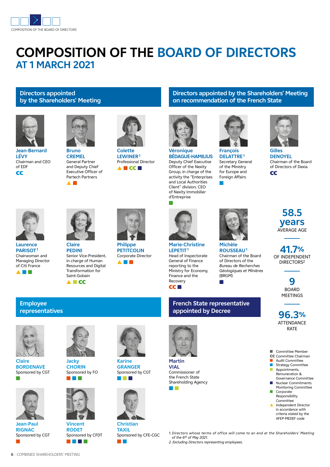

## **COMPOSITION OF THE BOARD OF DIRECTORS AT 1 MARCH 2021**

### **Directors appointed by the Shareholders' Meeting**



**Jean-Bernard LÉVY** Chairman and CEO of EDF **CC** 



**Bruno CREMEL** General Partner and Deputy Chief Executive Officer of Partech Partners ▲ ■



**Colette LEWINER1** Professional Director ▲ ■ CC ■

# **Véronique BÉDAGUE-HAMILIUS**

Deputy Chief Executive Officer of the Nexity Group, in charge of the activity the "Enterprises and Local Authorities Client" division, CEO of Nexity Immobilier d'Entreprise

■



**on recommendation of the French State**

**Directors appointed by the Shareholders' Meeting** 

**François DELATTRE1** Secretary General of the Ministry for Europe and Foreign Affairs ■

**Michèle ROUSSEAU1** Chairman of the Board of Directors of the *Bureau de Recherches Géologiques et Minières* 

(BRGM) ■



**Gilles DENOYEL** Chairman of the Board of Directors of Dexia **CC** 



**Laurence PARISOT1** Chairwoman and Managing Director of Citi France



▲ ■ CC



**Claire PEDINI** Senior Vice-President, in charge of Human Resources and Digital Transformation for Saint-Gobain



**Philippe PETITCOLIN** Corporate Director ▲ ■ ■



**Marie-Christine LEPETIT1** Head of Inspectorate General of Finance reporting to the Ministry for Economy, Finance and the Recovery CC ■

#### **French State representative appointed by Decree**



**Martin VIAL** Commissioner of the French State Shareholding Agency



## **58.5 years** AVERAGE AGE

**41.7%** OF INDEPENDENT DIRECTORS2

**9** BOARD MEETINGS

**96.3%** ATTENDANCE RATE



- Committee Member
- CC Committee Chairman Audit Committee
- **n** Strategy Committee  $\blacksquare$  Appointments, Remuneration &
- Governance Committee Nuclear Commitments Monitoring Committee
- **n** Corporate Responsibility **Committee**
- Independent Director in accordance with criteria stated by the
	- AFEP-MEDEF code
- *1. Directors whose terms of office will come to an end at the Shareholders' Meeting of the 6th of May 2021.*
- *2. Excluding Directors representing employees.*

**Employee representatives**



**Claire BORDENAVE** Sponsored by CGT ■



**Jean-Paul RIGNAC** Sponsored by CGT ■

**6** - COMBINED SHAREHOLDERS' MEETING



**Jacky CHORIN** Sponsored by FO ■ ■ ■



**Vincent RODET** Sponsored by CFDT ■ ■ ■ ■





**Christian TAXIL** Sponsored by CFE-CGC ■ ■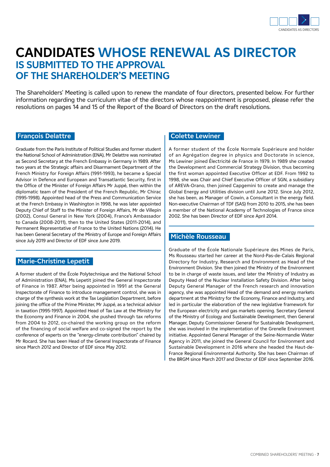

## **CANDIDATES WHOSE RENEWAL AS DIRECTOR IS SUBMITTED TO THE APPROVAL OF THE SHAREHOLDER'S MEETING**

The Shareholders' Meeting is called upon to renew the mandate of four directors, presented below. For further information regarding the curriculum vitae of the directors whose reappointment is proposed, please refer the resolutions on pages 14 and 15 of the Report of the Board of Directors on the draft resolutions.

#### **François Delattre**

Graduate from the Paris Institute of Political Studies and former student the National School of Administration (ENA), Mr Delattre was nominated as Second Secretary at the French Embassy in Germany in 1989. After two years at the Strategic affairs and Disarmament Department of the French Ministry for Foreign Affairs (1991-1993), he became a Special Advisor in Defence and European and Transatlantic Security, first in the Office of the Minister of Foreign Affairs Mr Juppé, then within the diplomatic team of the President of the French Republic, Mr Chirac (1995-1998). Appointed head of the Press and Communication Service at the French Embassy in Washington in 1998, he was later appointed Deputy Chief of Staff to the Minister of Foreign Affairs, Mr de Villepin (2002), Consul General in New York (2004), France's Ambassador to Canada (2008-2011), then to the United States (2011-2014), and Permanent Representative of France to the United Nations (2014). He has been General Secretary of the Ministry of Europe and Foreign Affairs since July 2019 and Director of EDF since June 2019.

#### **Marie-Christine Lepetit**

A former student of the École Polytechnique and the National School of Administration (ENA), Ms Lepetit joined the General Inspectorate of Finance in 1987. After being appointed in 1991 at the General Inspectorate of Finance to introduce management control, she was in charge of the synthesis work at the Tax Legislation Department, before joining the office of the Prime Minister, Mr Juppé, as a technical advisor in taxation (1995-1997). Appointed Head of Tax Law at the Ministry for the Economy and Finance in 2004, she pushed through tax reforms from 2004 to 2012, co-chaired the working group on the reform of the financing of social welfare and co-signed the report by the conference of experts on the "energy-climate contribution" chaired by Mr Rocard. She has been Head of the General Inspectorate of Finance since March 2012 and Director of EDF since May 2012.

#### **Colette Lewiner**

A former student of the École Normale Supérieure and holder of an Agrégation degree in physics and Doctorate in science, Ms Lewiner joined Électricité de France in 1979. In 1989 she created the Development and Commercial Strategy Division, thus becoming the first woman appointed Executive Officer at EDF. From 1992 to 1998, she was Chair and Chief Executive Officer of SGN, a subsidiary of AREVA-Orano, then joined Capgemini to create and manage the Global Energy and Utilities division until June 2012. Since July 2012, she has been, as Manager of Cowin, a Consultant in the energy field. Non-executive Chairman of TDF (SAS) from 2010 to 2015, she has been a member of the National Academy of Technologies of France since 2002. She has been Director of EDF since April 2014.

#### **Michèle Rousseau**

Graduate of the École Nationale Supérieure des Mines de Paris, Ms Rousseau started her career at the Nord-Pas-de-Calais Regional Directory for Industry, Research and Environment as Head of the Environment Division. She then joined the Ministry of the Environment to be in charge of waste issues, and later the Ministry of Industry as Deputy Head of the Nuclear Installation Safety Division. After being Deputy General Manager of the French research and innovation agency, she was appointed Head of the demand and energy markets department at the Ministry for the Economy, Finance and Industry, and led in particular the elaboration of the new legislative framework for the European electricity and gas markets opening. Secretary General of the Ministry of Ecology and Sustainable Development, then General Manager, Deputy Commissioner General for Sustainable Development, she was involved in the implementation of the Grenelle Environment initiative. Appointed General Manager of the Seine-Normandie Water Agency in 2011, she joined the General Council for Environment and Sustainable Development in 2016 where she headed the Haut-de-France Regional Environmental Authority. She has been Chairman of the BRGM since March 2017 and Director of EDF since September 2016.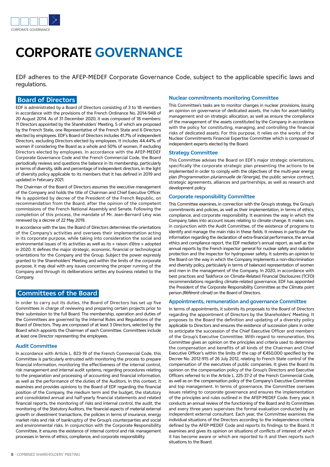

## **CORPORATE GOVERNANCE**

EDF adheres to the AFEP-MEDEF Corporate Governance Code, subject to the applicable specific laws and regulations.

#### **Board of Directors**

EDF is administrated by a Board of Directors consisting of 3 to 18 members in accordance with the provisions of the French Ordinance No. 2014-948 of 20 August 2014. As of 31 December 2020, it was composed of 18 members: 11 Directors appointed by the Shareholders' Meeting, 5 of which are proposed by the French State, one Representative of the French State and 6 Directors elected by employees. EDF's Board of Directors includes 41.7% of independent Directors, excluding Directors elected by employees. It includes 44.44% of women if considering the Board as a whole and 50% of women, if excluding Directors elected by employees. In accordance with the AFEP-MEDEF Corporate Governance Code and the French Commercial Code, the Board periodically reviews and questions the balance in its membership, particularly in terms of diversity, skills and percentage of independent directors, in the light of diversity policy applicable to its members that it has defined in 2019 and updated in February 2021.

The Chairman of the Board of Directors assumes the executive management of the Company and holds the title of Chairman and Chief Executive Officer. He is appointed by decree of the President of the French Republic, on recommendation from the Board, after the opinion of the competent commissions of the French National Assembly and Senate. Following the completion of this process, the mandate of Mr. Jean-Bernard Lévy was renewed by a decree of 22 May 2019.

ln accordance with the Iaw, the Board of Directors determines the orientations of the Company's activities and oversees their implementation acting in its corporate purpose, while taking into consideration the social and environmental issues of its activities as well as its « raison d'être » adopted in 2020. It defines the major strategic, economic, financial or technological orientations for the Company and the Group. Subject the power expressly granted to the Shareholders' Meeting and within the limits of the corporate purpose, it may deal with any issues concerning the proper running of the Company and through its deliberations settles any business related to the Company.

#### **Committees of the Board**

ln order to carry out its duties, the Board of Directors has set up five Committees in charge of reviewing and preparing certain projects prior to their submission to the full Board. The membership, operation and duties of the Committees are governed by the Internal Rules and Regulations of the Board of Directors. They are composed of at least 3 Directors, selected by the Board which appoints the Chairman of each Committee. Committees include at least one Director representing the employees.

#### **Audit Committee**

ln accordance with Article L. 823-19 of the French Commercial Code, this Committee is particularly entrusted with monitoring the process to prepare financial information, monitoring the effectiveness of the internal control, risk management and internal audit systems, regarding procedures relating to the preparation and processing of accounting and financial information, as well as the performance of the duties of the Auditors. In this context, it examines and provides opinions to the Board of EDF regarding the financial position of the Company, the medium term and the budget, the statutory and consolidated annual and half-yearly financial statements and related financial reports, the monitoring of risks and internal control, the audit, the monitoring of the Statutory Auditors, the financial aspects of material external growth or divestment transactions, the policies in terms of insurance, energy market risks and risk of bankruptcy of the Group's counterparties and social and environmental risks. In conjunction with the Corporate Responsibility Committee, it ensures the existence of internal control and risk management processes in terms of ethics, compliance, and corporate responsibility.

#### **Nuclear commitments monitoring Committee**

This Committee's tasks are to monitor changes in nuclear provisions, issuing an opinion on governance of dedicated assets, the rules for asset-liability management and on strategic allocation, as well as ensure the compliance of the management of the assets constituted by the Company in accordance with the policy for constituting, managing, and controlling the financial risks of dedicated assets. For this purpose, it relies on the works of the Nuclear Commitments Financial Expertise Committee which is composed of independent experts elected by the Board.

#### **Strategy Committee**

This Committee advises the Board on EDF's major strategic orientations, specifically the corporate strategic plan presenting the actions to be implemented in order to comply with the objectives of the multi-year energy plan *(Programmation pluriannuelle de l'énergie)*, the public service contract, strategic agreements, alliances and partnerships, as well as research and development policy.

#### **Corporate responsibility Committee**

This Committee examines, in connection with the Group's strategy, the Group's commitments and policies, as well as their implementation, in terms of ethics, compliance, and corporate responsibility. It examines the way in which the Company takes into account issues relating to climate change. It makes sure, in conjunction with the Audit Committee, of the existence of programs to identify and manage the main risks in these fields. It reviews in particular the information regarding the declaration of extra-financial performance, the annual ethics and compliance report, the EDF mediator's annual report, as well as the annual reports by the French inspector general for nuclear safety and radiation protection and the inspector for hydropower safety. It submits an opinion to the Board on the way in which the Company implements a non-discrimination and diversity policy, particularly in terms of balanced representation of women and men in the management of the Company. In 2020, in accordance with best practices and Taskforce on Climate-Related Financial Disclosures (TCFD) recommendations regarding climate-related governance, EDF has appointed the President of the Corporate Responsibility Committee as the Climate point person *(Référent climat)* on the Board of Directors.

#### **Appointments, remuneration and governance Committee**

In terms of appointments, it submits its proposals to the Board of Directors regarding the appointment of Directors by the Shareholders' Meeting. It proposes to the Board the definition and updating of a diversity policy applicable to Directors and ensures the existence of succession plans in order to anticipate the succession of the Chief Executive Officer and members of the Group's Executive Committee. With regard to remuneration, this Committee gives an opinion on the principles and criteria used to determine the compensation and benefits of all kinds of the Chairman and Chief Executive Officer's within the limits of the cap of €450,000 specified by the Decree No. 2012-915 of 26 July 2012, relating to French State control of the compensation of the executives of public companies. It gives the Board its opinion on the compensation policy of the Group's Directors and Executive Officers referred to in the Article L. 225-37-2 of the French Commercial Code, as well as on the compensation policy of the Company's Executive Committee and top management. In terms of governance, the Committee oversees issues relating to corporate governance and ensures the implementation of the principles and rules outlined in the AFEP-MEDEF Code. Every year, it conducts an annual review of the functioning of the Board and its Committees and every three years supervises the formal evaluation conducted by an independent external consultant. Each year, the Committee examines the individual situations of the Directors according to the independence criteria defined by the AFEP-MEDEF Code and reports its findings to the Board. It examines and gives its opinion on situations of conflicts of interest of which it has become aware or which are reported to it and then reports such situations to the Board.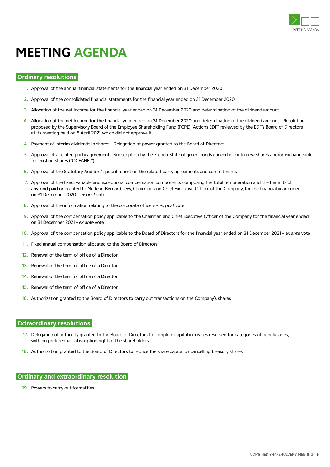

## **MEETING AGENDA**

#### **Ordinary resolutions**

- **1.** Approval of the annual financial statements for the financial year ended on 31 December 2020
- **2.** Approval of the consolidated financial statements for the financial year ended on 31 December 2020
- **3.** Allocation of the net income for the financial year ended on 31 December 2020 and determination of the dividend amount
- **A.** Allocation of the net income for the financial year ended on 31 December 2020 and determination of the dividend amount Resolution proposed by the Supervisory Board of the Employee Shareholding Fund (FCPE) "Actions EDF" reviewed by the EDF's Board of Directors at its meeting held on 8 April 2021 which did not approve it
- **4.** Payment of interim dividends in shares Delegation of power granted to the Board of Directors
- **5.** Approval of a related-party agreement Subscription by the French State of green bonds convertible into new shares and/or exchangeable for existing shares ("OCEANEs")
- **6.** Approval of the Statutory Auditors' special report on the related-party agreements and commitments
- **7.** Approval of the fixed, variable and exceptional compensation components composing the total remuneration and the benefits of any kind paid or granted to Mr. Jean-Bernard Lévy, Chairman and Chief Executive Officer of the Company, for the financial year ended on 31 December 2020 – *ex post* vote
- **8.** Approval of the information relating to the corporate officers *ex post* vote
- **9.** Approval of the compensation policy applicable to the Chairman and Chief Executive Officer of the Company for the financial year ended on 31 December 2021 – *ex ante* vote
- **10.** Approval of the compensation policy applicable to the Board of Directors for the financial year ended on 31 December 2021 *ex ante* vote
- **11.** Fixed annual compensation allocated to the Board of Directors
- **12.** Renewal of the term of office of a Director
- **13.** Renewal of the term of office of a Director
- **14.** Renewal of the term of office of a Director
- **15.** Renewal of the term of office of a Director
- **16.** Authorization granted to the Board of Directors to carry out transactions on the Company's shares

#### **Extraordinary resolutions**

- **17.** Delegation of authority granted to the Board of Directors to complete capital increases reserved for categories of beneficiaries, with no preferential subscription right of the shareholders
- **18.** Authorization granted to the Board of Directors to reduce the share capital by cancelling treasury shares

#### **Ordinary and extraordinary resolution**

**19.** Powers to carry out formalities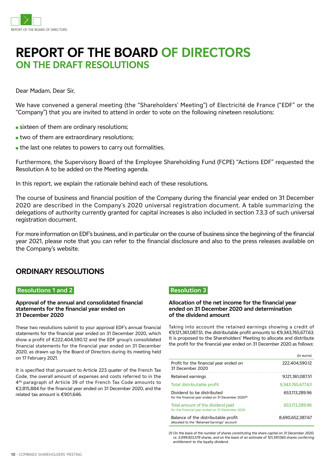

## **REPORT OF THE BOARD OF DIRECTORS ON THE DRAFT RESOLUTIONS**

Dear Madam, Dear Sir,

We have convened a general meeting (the "Shareholders' Meeting") of Electricité de France ("EDF" or the "Company") that you are invited to attend in order to vote on the following nineteen resolutions:

- sixteen of them are ordinary resolutions;
- $\blacksquare$  two of them are extraordinary resolutions;
- $\blacksquare$  the last one relates to powers to carry out formalities.

Furthermore, the Supervisory Board of the Employee Shareholding Fund (FCPE) "Actions EDF" requested the Resolution A to be added on the Meeting agenda.

In this report, we explain the rationale behind each of these resolutions.

The course of business and financial position of the Company during the financial year ended on 31 December 2020 are described in the Company's 2020 universal registration document. A table summarizing the delegations of authority currently granted for capital increases is also included in section 7.3.3 of such universal registration document.

For more information on EDF's business, and in particular on the course of business since the beginning of the financial year 2021, please note that you can refer to the financial disclosure and also to the press releases available on the Company's website.

### **ORDINARY RESOLUTIONS**

#### **Resolutions 1 and 2**

#### **Approval of the annual and consolidated financial statements for the financial year ended on 31 December 2020**

These two resolutions submit to your approval EDF's annual financial statements for the financial year ended on 31 December 2020, which show a profit of €222,404,590.12 and the EDF group's consolidated financial statements for the financial year ended on 31 December 2020, as drawn up by the Board of Directors during its meeting held on 17 February 2021.

It is specified that pursuant to Article 223 *quater* of the French Tax Code, the overall amount of expenses and costs referred to in the 4th paragraph of Article 39 of the French Tax Code amounts to €2,815,884 for the financial year ended on 31 December 2020, and the related tax amount is €901,646.

### **Resolution 3**

#### **Allocation of the net income for the financial year ended on 31 December 2020 and determination of the dividend amount**

Taking into account the retained earnings showing a credit of €9,121,361,087.51, the distributable profit amounts to €9,343,765,677.63. It is proposed to the Shareholders' Meeting to allocate and distribute the profit for the financial year ended on 31 December 2020 as follows:

|                                                                                               | (in euros)       |
|-----------------------------------------------------------------------------------------------|------------------|
| Profit for the financial year ended on<br>31 December 2020                                    | 222.404.590.12   |
| Retained earnings                                                                             | 9,121,361,087.51 |
| Total distributable profit                                                                    | 9.343.765.677.63 |
| Dividend to be distributed<br>for the financial year ended on 31 December 2020 <sup>(1)</sup> | 653.113.289.96   |
| Total amount of the dividend paid<br>for the financial year ended on 31 December 2020         | 653,113,289.96   |
| Balance of the distributable profit<br>allocated to the "Retained Earnings" account           | 8.690.652.387.67 |

*(1) On the basis of the number of shares constituting the share capital on 31 December 2020, i.e. 3,099,923,579 shares, and on the basis of an estimate of 101,397,065 shares conferring entitlement to the loyalty dividend.*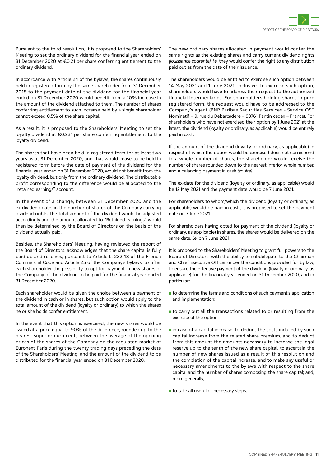Pursuant to the third resolution, it is proposed to the Shareholders' Meeting to set the ordinary dividend for the financial year ended on 31 December 2020 at €0.21 per share conferring entitlement to the ordinary dividend.

In accordance with Article 24 of the bylaws, the shares continuously held in registered form by the same shareholder from 31 December 2018 to the payment date of the dividend for the financial year ended on 31 December 2020 would benefit from a 10% increase in the amount of the dividend attached to them. The number of shares conferring entitlement to such increase held by a single shareholder cannot exceed 0.5% of the share capital.

As a result, it is proposed to the Shareholders' Meeting to set the loyalty dividend at €0.231 per share conferring entitlement to the loyalty dividend.

The shares that have been held in registered form for at least two years as at 31 December 2020, and that would cease to be held in registered form before the date of payment of the dividend for the financial year ended on 31 December 2020, would not benefit from the loyalty dividend, but only from the ordinary dividend. The distributable profit corresponding to the difference would be allocated to the "retained earnings" account.

In the event of a change, between 31 December 2020 and the ex-dividend date, in the number of shares of the Company carrying dividend rights, the total amount of the dividend would be adjusted accordingly and the amount allocated to "Retained earnings" would then be determined by the Board of Directors on the basis of the dividend actually paid.

Besides, the Shareholders' Meeting, having reviewed the report of the Board of Directors, acknowledges that the share capital is fully paid up and resolves, pursuant to Article L. 232-18 of the French Commercial Code and Article 25 of the Company's bylaws, to offer each shareholder the possibility to opt for payment in new shares of the Company of the dividend to be paid for the financial year ended 31 December 2020.

Each shareholder would be given the choice between a payment of the dividend in cash or in shares, but such option would apply to the total amount of the dividend (loyalty or ordinary) to which the shares he or she holds confer entitlement.

In the event that this option is exercised, the new shares would be issued at a price equal to 90% of the difference, rounded up to the nearest superior euro cent, between the average of the opening prices of the shares of the Company on the regulated market of Euronext Paris during the twenty trading days preceding the date of the Shareholders' Meeting, and the amount of the dividend to be distributed for the financial year ended on 31 December 2020.

The new ordinary shares allocated in payment would confer the same rights as the existing shares and carry current dividend rights *(jouissance courante), i.e.* they would confer the right to any distribution paid out as from the date of their issuance.

The shareholders would be entitled to exercise such option between 14 May 2021 and 1 June 2021, inclusive. To exercise such option, shareholders would have to address their request to the authorized financial intermediaries. For shareholders holding shares in pure registered form, the request would have to be addressed to the Company's agent (BNP Paribas Securities Services – Service OST Nominatif − 9, rue du Débarcadère − 93761 Pantin cedex − France). For shareholders who have not exercised their option by 1 June 2021 at the latest, the dividend (loyalty or ordinary, as applicable) would be entirely paid in cash.

If the amount of the dividend (loyalty or ordinary, as applicable) in respect of which the option would be exercised does not correspond to a whole number of shares, the shareholder would receive the number of shares rounded down to the nearest inferior whole number, and a balancing payment in cash *(soulte)*.

The ex-date for the dividend (loyalty or ordinary, as applicable) would be 12 May 2021 and the payment date would be 7 June 2021.

For shareholders to whom/which the dividend (loyalty or ordinary, as applicable) would be paid in cash, it is proposed to set the payment date on 7 June 2021.

For shareholders having opted for payment of the dividend (loyalty or ordinary, as applicable) in shares, the shares would be delivered on the same date, *i.e.* on 7 June 2021.

It is proposed to the Shareholders' Meeting to grant full powers to the Board of Directors, with the ability to subdelegate to the Chairman and Chief Executive Officer under the conditions provided for by law, to ensure the effective payment of the dividend (loyalty or ordinary, as applicable) for the financial year ended on 31 December 2020, and in particular:

- $\blacksquare$  to determine the terms and conditions of such payment's application and implementation;
- $\blacksquare$  to carry out all the transactions related to or resulting from the exercise of the option;
- $\blacksquare$  in case of a capital increase, to deduct the costs induced by such capital increase from the related share premium, and to deduct from this amount the amounts necessary to increase the legal reserve up to the tenth of the new share capital, to ascertain the number of new shares issued as a result of this resolution and the completion of the capital increase, and to make any useful or necessary amendments to the bylaws with respect to the share capital and the number of shares composing the share capital; and, more generally.
- $\blacksquare$  to take all useful or necessary steps.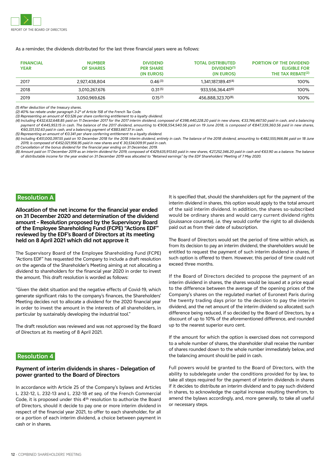

As a reminder, the dividends distributed for the last three financial years were as follows:

| <b>FINANCIAL</b><br><b>YEAR</b> | <b>NUMBER</b><br><b>OF SHARES</b> | <b>DIVIDEND</b><br><b>PER SHARE</b><br>(IN EUROS) | <b>TOTAL DISTRIBUTED</b><br><b>DIVIDEND<sup>(1)</sup></b><br>(IN EUROS) | <b>PORTION OF THE DIVIDEND</b><br><b>ELIGIBLE FOR</b><br>THE TAX REBATE <sup>(2)</sup> |
|---------------------------------|-----------------------------------|---------------------------------------------------|-------------------------------------------------------------------------|----------------------------------------------------------------------------------------|
| 2017                            | 2.927.438.804                     | 0.46(3)                                           | 1.341.187.189.41 <sup>(4)</sup>                                         | 100%                                                                                   |
| 2018                            | 3.010.267.676                     | $0.31^{(5)}$                                      | 933.556.364.41 <sup>(6)</sup>                                           | 100%                                                                                   |
| 2019                            | 3.050.969.626                     | $0.15^{(7)}$                                      | 456,888,323,70 <sup>(8),</sup>                                          | 100%                                                                                   |

*(1) After deduction of the treasury shares.*

*(2) 40% tax rebate under paragraph 3-2° of Article 158 of the French Tax Code.*

*(3) Representing an amount of €0.526 per share conferring entitlement to a loyalty dividend.*

*(4) Including €432,632,648.85 paid on 11 December 2017 for the 2017 interim dividend, composed of €398,440,228.20 paid in new shares, €33,746,467.50 paid in cash, and a balancing payment of €445,953.15 in cash. The balance of the 2017 dividend, amounting to €908,554,540.56 paid on 19 June 2018, is composed of €847,339,360.56 paid in new shares, €60,331,512.63 paid in cash, and a balancing payment of €883,667.37 in cash.*

*(5) Representing an amount of €0.341 per share conferring entitlement to a loyalty dividend.* 

*(6) Including €451,000,397.55 paid on 10 December 2018 for the 2018 interim dividend, entirely in cash. The balance of the 2018 dividend, amounting to €482,555,966.86 paid on 18 June 2019, is composed of €452,021,956.95 paid in new shares and € 30,534,009.91 paid in cash.*

*(7) Cancellation of the bonus dividend for the financial year ending on 31 December, 2019.* 

*(8) Amount paid on 17 December 2019 as an interim dividend for 2019, composed of €429,635,913.60 paid in new shares, €27,252,346.20 paid in cash and €63.90 as a balance. The balance of distributable income for the year ended on 31 December 2019 was allocated to "Retained earnings" by the EDF Shareholders' Meeting of 7 May 2020.*

#### **Resolution A**

**Allocation of the net income for the financial year ended on 31 December 2020 and determination of the dividend amount – Resolution proposed by the Supervisory Board of the Employee Shareholding Fund (FCPE) "Actions EDF" reviewed by the EDF's Board of Directors at its meeting held on 8 April 2021 which did not approve it**

The Supervisory Board of the Employee Shareholding Fund (FCPE) "Actions EDF" has requested the Company to include a draft resolution on the agenda of the Shareholder's Meeting aiming at not allocating a dividend to shareholders for the financial year 2020 in order to invest the amount. This draft resolution is worded as follows:

"Given the debt situation and the negative effects of Covid-19, which generate significant risks to the company's finances, the Shareholders' Meeting decides not to allocate a dividend for the 2020 financial year in order to invest the amount in the interests of all shareholders, in particular by sustainably developing the industrial tool."

The draft resolution was reviewed and was not approved by the Board of Directors at its meeting of 8 April 2021.

#### **Resolution 4**

#### **Payment of interim dividends in shares – Delegation of power granted to the Board of Directors**

In accordance with Article 25 of the Company's bylaws and Articles L. 232-12, L. 232-13 and L. 232-18 *et seq.* of the French Commercial Code, it is proposed under this 4<sup>th</sup> resolution to authorize the Board of Directors, should it decide to pay one or more interim dividend in respect of the financial year 2021, to offer to each shareholder, for all or a portion of each interim dividend, a choice between payment in cash or in shares.

It is specified that, should the shareholders opt for the payment of the interim dividend in shares, this option would apply to the total amount of the said interim dividend. In addition, the shares so-subscribed would be ordinary shares and would carry current dividend rights (jouissance courante), *i.e.* they would confer the right to all dividends paid out as from their date of subscription.

The Board of Directors would set the period of time within which, as from its decision to pay an interim dividend, the shareholders would be entitled to request the payment of such interim dividend in shares, if such option is offered to them. However, this period of time could not exceed three months.

If the Board of Directors decided to propose the payment of an interim dividend in shares, the shares would be issued at a price equal to the difference between the average of the opening prices of the Company's shares on the regulated market of Euronext Paris during the twenty trading days prior to the decision to pay the interim dividend, and the net amount of the interim dividend so allocated; such difference being reduced, if so decided by the Board of Directors, by a discount of up to 10% of the aforementioned difference, and rounded up to the nearest superior euro cent.

If the amount for which the option is exercised does not correspond to a whole number of shares, the shareholder shall receive the number of shares rounded down to the whole number immediately below, and the balancing amount should be paid in cash.

Full powers would be granted to the Board of Directors, with the ability to subdelegate under the conditions provided for by law, to take all steps required for the payment of interim dividends in shares if it decides to distribute an interim dividend and to pay such dividend in shares, to acknowledge the capital increase resulting therefrom, to amend the bylaws accordingly, and, more generally, to take all useful or necessary steps.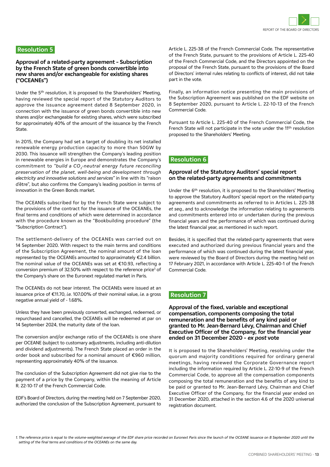

#### **Resolution 5**

#### **Approval of a related-party agreement – Subscription by the French State of green bonds convertible into new shares and/or exchangeable for existing shares ("OCEANEs")**

Under the 5th resolution, it is proposed to the Shareholders' Meeting, having reviewed the special report of the Statutory Auditors to approve the issuance agreement dated 8 September 2020, in connection with the issuance of green bonds convertible into new shares and/or exchangeable for existing shares, which were subscribed for approximately 40% of the amount of the issuance by the French State.

In 2015, the Company had set a target of doubling its net installed renewable energy production capacity to more than 50GW by 2030. This issuance will strengthen the Company's leading position in renewable energies in Europe and demonstrates the Company's commitment to "build a CO<sub>2</sub>-neutral energy future reconciling *preservation of the planet, well-being and development through electricity and innovative solutions and services"* in line with its "raison d'être", but also confirms the Company's leading position in terms of innovation in the Green Bonds market.

The OCEANEs subscribed for by the French State were subject to the provisions of the contract for the issuance of the OCEANEs, the final terms and conditions of which were determined in accordance with the procedure known as the "Bookbuilding procedure" (the "Subscription Contract").

The settlement-delivery of the OCEANEs was carried out on 14 September 2020. With respect to the main terms and conditions of the Subscription Agreement, the nominal amount of the loan represented by the OCEANEs amounted to approximately €2.4 billion. The nominal value of the OCEANEs was set at €10.93, reflecting a conversion premium of 32.50% with respect to the reference price<sup>1</sup> of the Company's share on the Euronext regulated market in Paris.

The OCEANEs do not bear interest. The OCEANEs were issued at an issuance price of €11.70, *i.e.* 107.00% of their nominal value, *i.e.* a gross negative annual yield of - 1.68%.

Unless they have been previously converted, exchanged, redeemed, or repurchased and cancelled, the OCEANEs will be redeemed at par on 14 September 2024, the maturity date of the loan.

The conversion and/or exchange ratio of the OCEANEs is one share per OCEANE (subject to customary adjustments, including anti-dilution and dividend adjustments). The French State placed an order in the order book and subscribed for a nominal amount of €960 million, representing approximately 40% of the issuance.

The conclusion of the Subscription Agreement did not give rise to the payment of a price by the Company, within the meaning of Article R. 22-10-17 of the French Commercial Code.

EDF's Board of Directors, during the meeting held on 7 September 2020, authorized the conclusion of the Subscription Agreement, pursuant to Article L. 225-38 of the French Commercial Code. The representative of the French State, pursuant to the provisions of Article L. 225-40 of the French Commercial Code, and the Directors appointed on the proposal of the French State, pursuant to the provisions of the Board of Directors' internal rules relating to conflicts of interest, did not take part in the vote.

Finally, an information notice presenting the main provisions of the Subscription Agreement was published on the EDF website on 8 September 2020, pursuant to Article L. 22-10-13 of the French Commercial Code.

Pursuant to Article L. 225-40 of the French Commercial Code, the French State will not participate in the vote under the 11<sup>th</sup> resolution proposed to the Shareholders' Meeting.

#### **Resolution 6**

#### **Approval of the Statutory Auditors' special report on the related-party agreements and commitments**

Under the 6<sup>th</sup> resolution, it is proposed to the Shareholders' Meeting to approve the Statutory Auditors' special report on the related-party agreements and commitments as referred to in Articles L. 225-38 *et seq.*, and to acknowledge the information relating to agreements and commitments entered into or undertaken during the previous financial years and the performance of which was continued during the latest financial year, as mentioned in such report.

Besides, it is specified that the related-party agreements that were executed and authorized during previous financial years and the performance of which was continued during the latest financial year, were reviewed by the Board of Directors during the meeting held on 17 February 2021, in accordance with Article L. 225-40-1 of the French Commercial Code.

#### **Resolution 7**

**Approval of the fixed, variable and exceptional compensation, components composing the total remuneration and the benefits of any kind paid or granted to Mr. Jean-Bernard Lévy, Chairman and Chief Executive Officer of the Company, for the financial year ended on 31 December 2020 – ex post vote**

It is proposed to the Shareholders' Meeting, resolving under the quorum and majority conditions required for ordinary general meetings, having reviewed the Corporate Governance report including the information required by Article L. 22-10-9 of the French Commercial Code, to approve all the compensation components composing the total remuneration and the benefits of any kind to be paid or granted to Mr. Jean-Bernard Lévy, Chairman and Chief Executive Officer of the Company, for the financial year ended on 31 December 2020, attached in the section 4.6 of the 2020 universal registration document.

*1. The reference price is equal to the volume-weighted average of the EDF share price recorded on Euronext Paris since the launch of the OCEANE issuance on 8 September 2020 until the setting of the final terms and conditions of the OCEANEs on the same day.*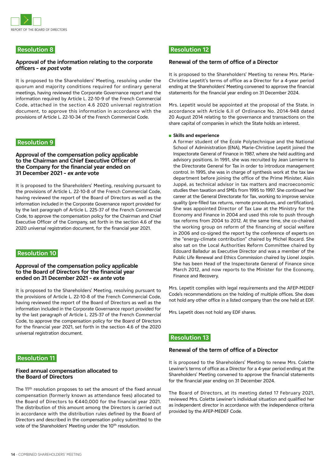

#### **Resolution 8**

#### **Approval of the information relating to the corporate officers – ex post vote**

It is proposed to the Shareholders' Meeting, resolving under the quorum and majority conditions required for ordinary general meetings, having reviewed the Corporate Governance report and the information required by Article L. 22-10-9 of the French Commercial Code, attached in the section 4.6 2020 universal registration document, to approve this information in accordance with the provisions of Article L. 22-10-34 of the French Commercial Code.

#### **Resolution 9**

#### **Approval of the compensation policy applicable to the Chairman and Chief Executive Officer of the Company for the financial year ended on 31 December 2021 – ex ante vote**

It is proposed to the Shareholders' Meeting, resolving pursuant to the provisions of Article L. 22-10-8 of the French Commercial Code, having reviewed the report of the Board of Directors as well as the information included in the Corporate Governance report provided for by the last paragraph of Article L. 225-37 of the French Commercial Code, to approve the compensation policy for the Chairman and Chief Executive Officer of the Company, set forth in the section 4.6 of the 2020 universal registration document, for the financial year 2021.

#### **Resolution 10**

#### **Approval of the compensation policy applicable to the Board of Directors for the financial year ended on 31 December 2021 – ex ante vote**

It is proposed to the Shareholders' Meeting, resolving pursuant to the provisions of Article L. 22-10-8 of the French Commercial Code, having reviewed the report of the Board of Directors as well as the information included in the Corporate Governance report provided for by the last paragraph of Article L. 225-37 of the French Commercial Code, to approve the compensation policy for the Board of Directors for the financial year 2021, set forth in the section 4.6 of the 2020 universal registration document.

#### **Resolution 11**

#### **Fixed annual compensation allocated to the Board of Directors**

The 11<sup>th</sup> resolution proposes to set the amount of the fixed annual compensation (formerly known as attendance fees) allocated to the Board of Directors to €440,000 for the financial year 2021. The distribution of this amount among the Directors is carried out in accordance with the distribution rules defined by the Board of Directors and described in the compensation policy submitted to the vote of the Shareholders' Meeting under the 10<sup>th</sup> resolution.

#### **Resolution 12**

#### **Renewal of the term of office of a Director**

It is proposed to the Shareholders' Meeting to renew Mrs. Marie-Christine Lepetit's terms of office as a Director for a 4-year period ending at the Shareholders' Meeting convened to approve the financial statements for the financial year ending on 31 December 2024.

Mrs. Lepetit would be appointed at the proposal of the State, in accordance with Article 6.II of Ordinance No. 2014-948 dated 20 August 2014 relating to the governance and transactions on the share capital of companies in which the State holds an interest.

#### **n** Skills and experience

A former student of the École Polytechnique and the National School of Administration (ENA), Marie-Christine Lepetit joined the Inspectorate General of Finance in 1987, where she held auditing and advisory positions. In 1991, she was recruited by Jean Lemierre to the Directorate General for Tax in order to introduce management control. In 1995, she was in charge of synthesis work at the tax law department before joining the office of the Prime Minister, Alain Juppé, as technical advisor in tax matters and macroeconomic studies then taxation and SMEs from 1995 to 1997. She continued her career at the General Directorate for Tax, working to improve service quality (pre-filled tax returns, remote procedures, and certification). She was appointed Director of Tax Law at the Ministry for the Economy and Finance in 2004 and used this role to push through tax reforms from 2004 to 2012. At the same time, she co-chaired the working group on reform of the financing of social welfare in 2006 and co-signed the report by the conference of experts on the "energy-climate contribution" chaired by Michel Rocard. She also sat on the Local Authorities Reform Committee chaired by Edouard Balladur as Executive Director and was a member of the Public Life Renewal and Ethics Commission chaired by Lionel Jospin. She has been Head of the Inspectorate General of Finance since March 2012, and now reports to the Minister for the Economy, Finance and Recovery.

Mrs. Lepetit complies with legal requirements and the AFEP-MEDEF Code's recommendations on the holding of multiple offices. She does not hold any other office in a listed company than the one held at EDF.

Mrs. Lepetit does not hold any EDF shares.

#### **Resolution 13**

#### **Renewal of the term of office of a Director**

It is proposed to the Shareholders' Meeting to renew Mrs. Colette Lewiner's terms of office as a Director for a 4-year period ending at the Shareholders' Meeting convened to approve the financial statements for the financial year ending on 31 December 2024.

The Board of Directors, at its meeting dated 17 February 2021, reviewed Mrs. Colette Lewiner's individual situation and qualified her as independent director in accordance with the independence criteria provided by the AFEP-MEDEF Code.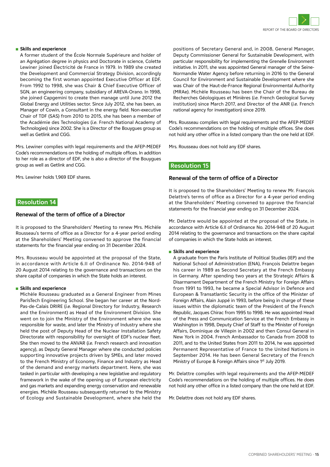

#### **n** Skills and experience

A former student of the École Normale Supérieure and holder of an Agrégation degree in physics and Doctorate in science, Colette Lewiner joined Électricité de France in 1979. In 1989 she created the Development and Commercial Strategy Division, accordingly becoming the first woman appointed Executive Officer at EDF. From 1992 to 1998, she was Chair & Chief Executive Officer of SGN, an engineering company, subsidiary of AREVA-Orano. In 1998, she joined Capgemini to create then manage until June 2012 the Global Energy and Utilities sector. Since July 2012, she has been, as Manager of Cowin, a Consultant in the energy field. Non-executive Chair of TDF (SAS) from 2010 to 2015, she has been a member of the Académie des Technologies (*i.e.* French National Academy of Technologies) since 2002. She is a Director of the Bouygues group as well as Getlink and CGG.

Mrs. Lewiner complies with legal requirements and the AFEP-MEDEF Code's recommendations on the holding of multiple offices. In addition to her role as a director of EDF, she is also a director of the Bouygues group as well as Getlink and CGG.

Mrs. Lewiner holds 1,969 EDF shares.

#### **Resolution 14**

#### **Renewal of the term of office of a Director**

It is proposed to the Shareholders' Meeting to renew Mrs. Michèle Rousseau's terms of office as a Director for a 4-year period ending at the Shareholders' Meeting convened to approve the financial statements for the financial year ending on 31 December 2024.

Mrs. Rousseau would be appointed at the proposal of the State, in accordance with Article 6.II of Ordinance No. 2014-948 of 20 August 2014 relating to the governance and transactions on the share capital of companies in which the State holds an interest.

#### **n** Skills and experience

Michèle Rousseau graduated as a General Engineer from Mines ParisTech Engineering School. She began her career at the Nord-Pas-de-Calais DRIRE (*i.e.* Regional Directory for Industry, Research and the Environment) as Head of the Environment Division. She went on to join the Ministry of the Environment where she was responsible for waste, and later the Ministry of Industry where she held the post of Deputy Head of the Nuclear Installation Safety Directorate with responsibility for oversight of EDF's nuclear fleet. She then moved to the ANVAR (*i.e.* French research and innovation agency), as Deputy General Manager where she conducted policies supporting innovative projects driven by SMEs, and later moved to the French Ministry of Economy, Finance and Industry as Head of the demand and energy markets department. Here, she was tasked in particular with developing a new legislative and regulatory framework in the wake of the opening up of European electricity and gas markets and expanding energy conservation and renewable energies. Michèle Rousseau subsequently returned to the Ministry of Ecology and Sustainable Development, where she held the

positions of Secretary General and, in 2008, General Manager, Deputy Commissioner General for Sustainable Development, with particular responsibility for implementing the Grenelle Environment initiative. In 2011, she was appointed General manager of the Seine-Normandie Water Agency before returning in 2016 to the General Council for Environment and Sustainable Development where she was Chair of the Haut-de-France Regional Environmental Authority (MRAe). Michèle Rousseau has been the Chair of the Bureau de Recherches Géologiques et Minières (*i.e.* French Geological Survey institution) since March 2017, and Director of the ANR (*i.e.* French national agency for investigation) since 2019.

Mrs. Rousseau complies with legal requirements and the AFEP-MEDEF Code's recommendations on the holding of multiple offices. She does not hold any other office in a listed company than the one held at EDF.

Mrs. Rousseau does not hold any EDF shares.

#### **Resolution 15**

#### **Renewal of the term of office of a Director**

It is proposed to the Shareholders' Meeting to renew Mr. François Delattre's terms of office as a Director for a 4-year period ending at the Shareholders' Meeting convened to approve the financial statements for the financial year ending on 31 December 2024.

Mr. Delattre would be appointed at the proposal of the State, in accordance with Article 6.II of Ordinance No. 2014-948 of 20 August 2014 relating to the governance and transactions on the share capital of companies in which the State holds an interest.

#### **n** Skills and experience

A graduate from the Paris Institute of Political Studies (IEP) and the National School of Administration (ENA), François Delattre began his career in 1989 as Second Secretary at the French Embassy in Germany. After spending two years at the Strategic Affairs & Disarmament Department of the French Ministry for Foreign Affairs from 1991 to 1993, he became a Special Advisor in Defence and European & Transatlantic Security in the office of the Minister of Foreign Affairs, Alain Juppé in 1993, before being in charge of these issues within the diplomatic team of the President of the French Republic, Jacques Chirac from 1995 to 1998. He was appointed Head of the Press and Communication Service at the French Embassy in Washington in 1998, Deputy Chief of Staff to the Minister of Foreign Affairs, Dominique de Villepin in 2002 and then Consul General in New York in 2004. French Ambassador to Canada from 2008 to 2011, and to the United States from 2011 to 2014, he was appointed Permanent Representative of France to the United Nations in September 2014. He has been General Secretary of the French Ministry of Europe & Foreign Affairs since 1st July 2019.

Mr. Delattre complies with legal requirements and the AFEP-MEDEF Code's recommendations on the holding of multiple offices. He does not hold any other office in a listed company than the one held at EDF.

Mr. Delattre does not hold any EDF shares.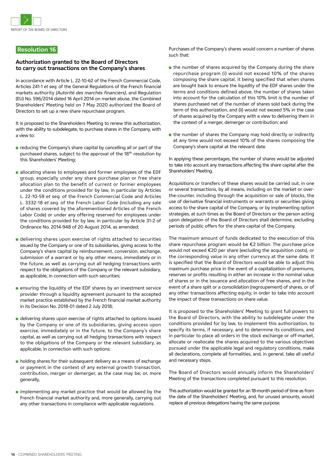

#### **Resolution 16**

#### **Authorization granted to the Board of Directors to carry out transactions on the Company's shares**

In accordance with Article L. 22-10-62 of the French Commercial Code, Articles 241-1 *et seq.* of the General Regulations of the French financial markets authority *(Autorité des marchés financiers)*, and Regulation (EU) No. 596/2014 dated 16 April 2014 on market abuse, the Combined Shareholders' Meeting held on 7 May 2020 authorized the Board of Directors to set up a new share repurchase program.

It is proposed to the Shareholders Meeting to renew this authorization, with the ability to subdelegate, to purchase shares in the Company, with a view to:

- n reducing the Company's share capital by cancelling all or part of the purchased shares, subject to the approval of the 18<sup>th</sup> resolution by this Shareholders' Meeting;
- n allocating shares to employees and former employees of the EDF group, especially under any share purchase plan or free share allocation plan to the benefit of current or former employees under the conditions provided for by law, in particular by Articles L. 22-10-59 *et seq.* of the French Commercial Code and Articles L. 3332-18 *et seq.* of the French Labor Code (including any sale of shares covered by the aforementioned Articles of the French Labor Code) or under any offering reserved for employees under the conditions provided for by law, in particular by Article 31-2 of Ordinance No. 2014-948 of 20 August 2014, as amended;
- n delivering shares upon exercise of rights attached to securities issued by the Company or one of its subsidiaries, giving access to the Company's share capital by reimbursement, conversion, exchange, submission of a warrant or by any other means, immediately or in the future, as well as carrying out all hedging transactions with respect to the obligations of the Company or the relevant subsidiary, as applicable, in connection with such securities;
- $\blacksquare$  ensuring the liquidity of the EDF shares by an investment service provider through a liquidity agreement pursuant to the accepted market practice established by the French financial market authority in its Decision No. 2018-01 dated 2 July 2018;
- n delivering shares upon exercise of rights attached to options issued by the Company or one of its subsidiaries, giving access upon exercise, immediately or in the future, to the Company's share capital, as well as carrying out all hedging transactions with respect to the obligations of the Company or the relevant subsidiary, as applicable, in connection with such options;
- $\blacksquare$  holding shares for their subsequent delivery as a means of exchange or payment in the context of any external growth transaction, contribution, merger or demerger, as the case may be; or, more generally,
- $\blacksquare$  implementing any market practice that would be allowed by the French financial market authority and, more generally, carrying out any other transactions in compliance with applicable regulations.

Purchases of the Company's shares would concern a number of shares such that:

- $\blacksquare$  the number of shares acquired by the Company during the share repurchase program (i) would not exceed 10% of the shares composing the share capital, it being specified that when shares are bought back to ensure the liquidity of the EDF shares under the terms and conditions defined above, the number of shares taken into account for the calculation of this 10% limit is the number of shares purchased net of the number of shares sold back during the term of this authorization, and (ii) would not exceed 5% in the case of shares acquired by the Company with a view to delivering them in the context of a merger, demerger or contribution; and
- $\blacksquare$  the number of shares the Company may hold directly or indirectly at any time would not exceed 10% of the shares composing the Company's share capital at the relevant date.

In applying these percentages, the number of shares would be adjusted to take into account any transactions affecting the share capital after the Shareholders' Meeting.

Acquisitions or transfers of these shares would be carried out, in one or several transactions, by all means, including on the market or overthe-counter, including through the acquisition or sale of blocks, the use of derivative financial instruments or warrants or securities giving access to the share capital of the Company, or by implementing option strategies, at such times as the Board of Directors or the person acting upon delegation of the Board of Directors shall determine, excluding periods of public offers for the share capital of the Company.

The maximum amount of funds dedicated to the execution of this share repurchase program would be €2 billion. The purchase price would not exceed €20 per share (excluding the acquisition costs), or the corresponding value in any other currency at the same date. It is specified that the Board of Directors would be able to adjust this maximum purchase price in the event of a capitalization of premiums, reserves or profits resulting in either an increase in the nominal value of shares or in the issuance and allocation of free shares, and in the event of a share split or a consolidation (regroupement) of shares, or of any other transactions affecting equity, in order to take into account the impact of these transactions on share value.

It is proposed to the Shareholders' Meeting to grant full powers to the Board of Directors, with the ability to subdelegate under the conditions provided for by law, to implement this authorization, to specify its terms, if necessary, and to determine its conditions, and in particular to place all orders in the stock exchange or off-market, allocate or reallocate the shares acquired to the various objectives pursued under the applicable legal and regulatory conditions, make all declarations, complete all formalities, and, in general, take all useful and necessary steps.

The Board of Directors would annually inform the Shareholders' Meeting of the transactions completed pursuant to this resolution.

This authorization would be granted for an 18-month period of time as from the date of the Shareholders' Meeting, and, for unused amounts, would replace all previous delegations having the same purpose.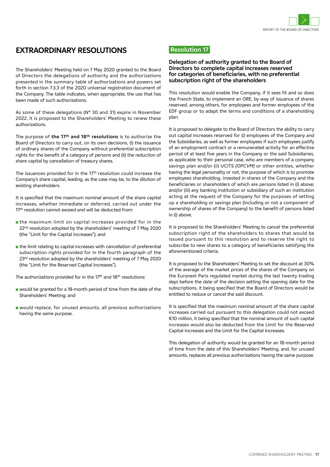

### **EXTRAORDINARY RESOLUTIONS**

The Shareholders' Meeting held on 7 May 2020 granted to the Board of Directors the delegations of authority and the authorizations presented in the summary table of authorizations and powers set forth in section 7.3.3 of the 2020 universal registration document of the Company. The table indicates, when appropriate, the use that has been made of such authorizations.

As some of these delegations (N° 30 and 31) expire in November 2022, it is proposed to the Shareholders' Meeting to renew these authorizations.

The purpose of **the 17th and 18th resolutions** is to authorize the Board of Directors to carry out, on its own decisions, (i) the issuance of ordinary shares of the Company without preferential subscription rights for the benefit of a category of persons and (ii) the reduction of share capital by cancellation of treasury shares.

The issuances provided for in the 17th resolution could increase the Company's share capital, leading, as the case may be, to the dilution of existing shareholders.

It is specified that the maximum nominal amount of the share capital increases, whether immediate or deferred, carried out under the 17<sup>th</sup> resolution cannot exceed and will be deducted from:

- $\blacksquare$  the maximum limit on capital increases provided for in the 22<sup>nd</sup> resolution adopted by the shareholders' meeting of 7 May 2020 (the "Limit for the Capital Increases"); and
- $\blacksquare$  the limit relating to capital increases with cancellation of preferential subscription rights provided for in the fourth paragraph of the 23<sup>rd</sup> resolution adopted by the shareholders' meeting of 7 May 2020 (the "Limit for the Reserved Capital Increases").

The authorizations provided for in the 17<sup>th</sup> and 18<sup>th</sup> resolutions:

- **n** would be granted for a 18-month period of time from the date of the Shareholders' Meeting; and
- n would replace, for unused amounts, all previous authorizations having the same purpose.

#### **Resolution 17**

#### **Delegation of authority granted to the Board of Directors to complete capital increases reserved for categories of beneficiaries, with no preferential subscription right of the shareholders**

This resolution would enable the Company, if it sees fit and so does the French State, to implement an ORE, by way of issuance of shares reserved, among others, for employees and former employees of the EDF group or to adapt the terms and conditions of a shareholding plan.

It is proposed to delegate to the Board of Directors the ability to carry out capital increases reserved for (i) employees of the Company and the Subsidiaries, as well as former employees if such employees justify of an employment contract or a remunerated activity for an effective period of at least five years in the Company or the said Subsidiaries, as applicable to their personal case, who are members of a company savings plan and/or (ii) UCITS *(OPCVM)* or other entities, whether having the legal personality or not, the purpose of which is to promote employees shareholding, invested in shares of the Company and the beneficiaries or shareholders of which are persons listed in (i) above; and/or (iii) any banking institution or subsidiary of such an institution acting at the request of the Company for the purposes of setting up a shareholding or savings plan (including or not a component of ownership of shares of the Company) to the benefit of persons listed in (i) above.

It is proposed to the Shareholders' Meeting to cancel the preferential subscription right of the shareholders to shares that would be issued pursuant to this resolution and to reserve the right to subscribe to new shares to a category of beneficiaries satisfying the aforementioned criteria.

It is proposed to the Shareholders' Meeting to set the discount at 30% of the average of the market prices of the shares of the Company on the Euronext Paris regulated market during the last twenty trading days before the date of the decision setting the opening date for the subscriptions, it being specified that the Board of Directors would be entitled to reduce or cancel the said discount.

It is specified that the maximum nominal amount of the share capital increases carried out pursuant to this delegation could not exceed €10 million, it being specified that the nominal amount of such capital increases would also be deducted from the Limit for the Reserved Capital Increases and the Limit for the Capital Increases.

This delegation of authority would be granted for an 18-month period of time from the date of this Shareholders' Meeting, and, for unused amounts, replaces all previous authorizations having the same purpose.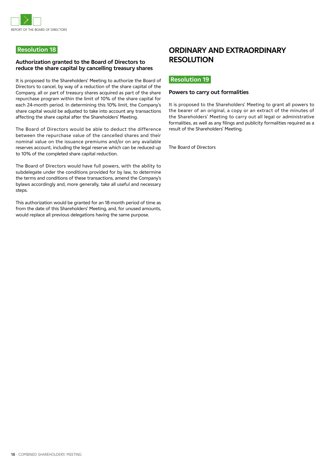

#### **Resolution 18**

#### **Authorization granted to the Board of Directors to reduce the share capital by cancelling treasury shares**

It is proposed to the Shareholders' Meeting to authorize the Board of Directors to cancel, by way of a reduction of the share capital of the Company, all or part of treasury shares acquired as part of the share repurchase program within the limit of 10% of the share capital for each 24-month period. In determining this 10% limit, the Company's share capital would be adjusted to take into account any transactions affecting the share capital after the Shareholders' Meeting.

The Board of Directors would be able to deduct the difference between the repurchase value of the cancelled shares and their nominal value on the issuance premiums and/or on any available reserves account, including the legal reserve which can be reduced up to 10% of the completed share capital reduction.

The Board of Directors would have full powers, with the ability to subdelegate under the conditions provided for by law, to determine the terms and conditions of these transactions, amend the Company's bylaws accordingly and, more generally, take all useful and necessary steps.

This authorization would be granted for an 18-month period of time as from the date of this Shareholders' Meeting, and, for unused amounts, would replace all previous delegations having the same purpose.

## **ORDINARY AND EXTRAORDINARY RESOLUTION**

#### **Resolution 19**

#### **Powers to carry out formalities**

It is proposed to the Shareholders' Meeting to grant all powers to the bearer of an original, a copy or an extract of the minutes of the Shareholders' Meeting to carry out all legal or administrative formalities, as well as any filings and publicity formalities required as a result of the Shareholders' Meeting.

The Board of Directors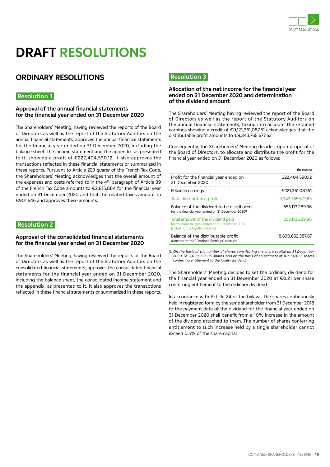

## **DRAFT RESOLUTIONS**

## **ORDINARY RESOLUTIONS**

#### **Resolution 1**

#### **Approval of the annual financial statements for the financial year ended on 31 December 2020**

The Shareholders' Meeting, having reviewed the reports of the Board of Directors as well as the report of the Statutory Auditors on the annual financial statements, approves the annual financial statements for the financial year ended on 31 December 2020, including the balance sheet, the income statement and the appendix, as presented to it, showing a profit of €222,404,590.12. It also approves the transactions reflected in these financial statements or summarized in these reports. Pursuant to Article 223 *quater* of the French Tax Code, the Shareholders' Meeting acknowledges that the overall amount of the expenses and costs referred to in the 4<sup>th</sup> paragraph of Article 39 of the French Tax Code amounts to €2,815,884 for the financial year ended on 31 December 2020 and that the related taxes amount to €901,646 and approves these amounts.

#### **Resolution 2**

#### **Approval of the consolidated financial statements for the financial year ended on 31 December 2020**

The Shareholders' Meeting, having reviewed the reports of the Board of Directors as well as the report of the Statutory Auditors on the consolidated financial statements, approves the consolidated financial statements for the financial year ended on 31 December 2020, including the balance sheet, the consolidated income statement and the appendix, as presented to it. It also approves the transactions reflected in these financial statements or summarized in these reports.

#### **Resolution 3**

#### **Allocation of the net income for the financial year ended on 31 December 2020 and determination of the dividend amount**

The Shareholders' Meeting having reviewed the report of the Board of Directors as well as the report of the Statutory Auditors on the annual financial statements, taking into account the retained earnings showing a credit of €9,121,361,087.51 acknowledges that the distributable profit amounts to €9,343,765,677.63.

Consequently, the Shareholders' Meeting decides, upon proposal of the Board of Directors, to allocate and distribute the profit for the financial year ended on 31 December 2020 as follows:

|                                                                                                                           | (in euros)       |
|---------------------------------------------------------------------------------------------------------------------------|------------------|
| Profit for the financial year ended on<br>31 December 2020                                                                | 222.404.590.12   |
| Retained earnings                                                                                                         | 9.121.361.087.51 |
| Total distributable profit                                                                                                | 9.343.765.677.63 |
| Balance of the dividend to be distributed<br>for the financial year ended on 31 December 2020 <sup>(1)</sup>              | 653.113.289.96   |
| Total amount of the dividend paid<br>for the financial year ended on 31 December 2020<br>(including the loyalty dividend) | 653,113,289,96   |
| Balance of the distributable profit<br>allocated to the "Retained Earnings" account                                       | 8.690,652,387.67 |

*(1) On the basis of the number of shares constituting the share capital on 31 December 2020, i.e. 3,099,923,579 shares, and on the basis of an estimate of 101,397,065 shares conferring entitlement to the loyalty dividend.*

The Shareholders' Meeting decides to set the ordinary dividend for the financial year ended on 31 December 2020 at €0.21 per share conferring entitlement to the ordinary dividend.

In accordance with Article 24 of the bylaws, the shares continuously held in registered form by the same shareholder from 31 December 2018 to the payment date of the dividend for the financial year ended on 31 December 2020 shall benefit from a 10% increase in the amount of the dividend attached to them. The number of shares conferring entitlement to such increase held by a single shareholder cannot exceed 0.5% of the share capital.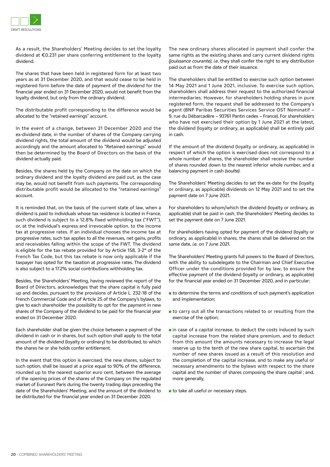

As a result, the Shareholders' Meeting decides to set the loyalty dividend at €0.231 per share conferring entitlement to the loyalty dividend.

The shares that have been held in registered form for at least two years as at 31 December 2020, and that would cease to be held in registered form before the date of payment of the dividend for the financial year ended on 31 December 2020, would not benefit from the loyalty dividend, but only from the ordinary dividend.

The distributable profit corresponding to the difference would be allocated to the "retained earnings" account.

In the event of a change, between 31 December 2020 and the ex-dividend date, in the number of shares of the Company carrying dividend rights, the total amount of the dividend would be adjusted accordingly and the amount allocated to "Retained earnings" would then be determined by the Board of Directors on the basis of the dividend actually paid.

Besides, the shares held by the Company on the date on which the ordinary dividend and the loyalty dividend are paid out, as the case may be, would not benefit from such payments. The corresponding distributable profit would be allocated to the "retained earnings" account.

It is reminded that, on the basis of the current state of law, when a dividend is paid to individuals whose tax residence is located in France, such dividend is subject to a 12.8% fixed withholding tax ("FWT"), or, at the individual's express and irrevocable option, to the income tax at progressive rates. If an individual chooses the income tax at progressive rates, such tax applies to all the revenues, net gains, profits and receivables falling within the scope of the FWT. The dividend is eligible for the tax rebate provided for by Article 158, 3-2° of the French Tax Code, but this tax rebate is now only applicable if the taxpayer has opted for the taxation at progressive rates. The dividend is also subject to a 17.2% social contributions withholding tax.

Besides, the Shareholders' Meeting, having reviewed the report of the Board of Directors, acknowledges that the share capital is fully paid up and decides, pursuant to the provisions of Article L. 232-18 of the French Commercial Code and of Article 25 of the Company's bylaws, to give to each shareholder the possibility to opt for the payment in new shares of the Company of the dividend to be paid for the financial year ended on 31 December 2020.

Each shareholder shall be given the choice between a payment of the dividend in cash or in shares, but such option shall apply to the total amount of the dividend (loyalty or ordinary) to be distributed, to which the shares he or she holds confer entitlement.

In the event that this option is exercised, the new shares, subject to such option, shall be issued at a price equal to 90% of the difference, rounded up to the nearest superior euro cent, between the average of the opening prices of the shares of the Company on the regulated market of Euronext Paris during the twenty trading days preceding the date of the Shareholders' Meeting, and the amount of the dividend to be distributed for the financial year ended on 31 December 2020.

The new ordinary shares allocated in payment shall confer the same rights as the existing shares and carry current dividend rights *(jouissance courante), i.e.* they shall confer the right to any distribution paid out as from the date of their issuance.

The shareholders shall be entitled to exercise such option between 14 May 2021 and 1 June 2021, inclusive. To exercise such option, shareholders shall address their request to the authorized financial intermediaries. However, for shareholders holding shares in pure registered form, the request shall be addressed to the Company's agent (BNP Paribas Securities Services Service OST Nominatif − 9, rue du Débarcadère − 93761 Pantin cedex − France). For shareholders who have not exercised their option by 1 June 2021 at the latest, the dividend (loyalty or ordinary, as applicable) shall be entirely paid in cash.

If the amount of the dividend (loyalty or ordinary, as applicable) in respect of which the option is exercised does not correspond to a whole number of shares, the shareholder shall receive the number of shares rounded down to the nearest inferior whole number, and a balancing payment in cash *(soulte)*.

The Shareholders' Meeting decides to set the ex-date for the (loyalty or ordinary, as applicable) dividends on 12 May 2021 and to set the payment date on 7 June 2021.

For shareholders to whom/which the dividend (loyalty or ordinary, as applicable) shall be paid in cash, the Shareholders' Meeting decides to set the payment date on 7 June 2021.

For shareholders having opted for payment of the dividend (loyalty or ordinary, as applicable) in shares, the shares shall be delivered on the same date, *i.e.* on 7 June 2021.

The Shareholders' Meeting grants full powers to the Board of Directors, with the ability to subdelegate to the Chairman and Chief Executive Officer under the conditions provided for by law, to ensure the effective payment of the dividend (loyalty or ordinary, as applicable) for the financial year ended on 31 December 2020, and in particular:

- $\blacksquare$  to determine the terms and conditions of such payment's application and implementation;
- $\blacksquare$  to carry out all the transactions related to or resulting from the exercise of the option;
- $\blacksquare$  in case of a capital increase, to deduct the costs induced by such capital increase from the related share premium, and to deduct from this amount the amounts necessary to increase the legal reserve up to the tenth of the new share capital, to ascertain the number of new shares issued as a result of this resolution and the completion of the capital increase, and to make any useful or necessary amendments to the bylaws with respect to the share capital and the number of shares composing the share capital ; and, more generally.
- $\blacksquare$  to take all useful or necessary steps.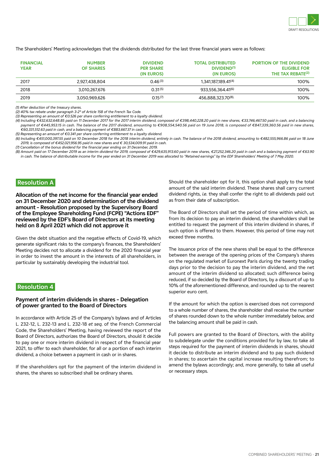

The Shareholders' Meeting acknowledges that the dividends distributed for the last three financial years were as follows:

| <b>FINANCIAL</b><br><b>YEAR</b> | <b>NUMBER</b><br><b>OF SHARES</b> | <b>DIVIDEND</b><br><b>PER SHARE</b><br>(IN EUROS) | <b>TOTAL DISTRIBUTED</b><br>DIVIDEND <sup>(1)</sup><br>(IN EUROS) | <b>PORTION OF THE DIVIDEND</b><br><b>ELIGIBLE FOR</b><br>THE TAX REBATE <sup>(2)</sup> |
|---------------------------------|-----------------------------------|---------------------------------------------------|-------------------------------------------------------------------|----------------------------------------------------------------------------------------|
| 2017                            | 2.927.438.804                     | 0.46(3)                                           | 1.341.187.189.41 <sup>(4)</sup>                                   | 100%                                                                                   |
| 2018                            | 3.010.267.676                     | $0.31^{(5)}$                                      | 933.556.364.41 <sup>(6)</sup>                                     | 100%                                                                                   |
| 2019                            | 3.050.969.626                     | $0.15^{(7)}$                                      | 456.888.323.70(8),                                                | 100%                                                                                   |

*(1) After deduction of the treasury shares.*

*(2) 40% tax rebate under paragraph 3-2° of Article 158 of the French Tax Code.*

*(3) Representing an amount of €0.526 per share conferring entitlement to a loyalty dividend.*

*(4) Including €432,632,648.85 paid on 11 December 2017 for the 2017 interim dividend, composed of €398,440,228.20 paid in new shares, €33,746,467.50 paid in cash, and a balancing*  payment of €445,953.15 in cash. The balance of the 2017 dividend, amounting to €908,554,540.56 paid on 19 June 2018, is composed of €847,339,360.56 paid in new shares, *€60,331,512.63 paid in cash, and a balancing payment of €883,667.37 in cash.*

*(5) Representing an amount of €0.341 per share conferring entitlement to a loyalty dividend.* 

*(6) Including €451,000,397.55 paid on 10 December 2018 for the 2018 interim dividend, entirely in cash. The balance of the 2018 dividend, amounting to €482,555,966.86 paid on 18 June 2019, is composed of €452,021,956.95 paid in new shares and € 30,534,009.91 paid in cash.*

*(7) Cancellation of the bonus dividend for the financial year ending on 31 December, 2019. (8) Amount paid on 17 December 2019 as an interim dividend for 2019, composed of €429,635,913.60 paid in new shares, €27,252,346.20 paid in cash and a balancing payment of €63.90 in cash. The balance of distributable income for the year ended on 31 December 2019 was allocated to "Retained earnings" by the EDF Shareholders' Meeting of 7 May 2020.*

#### **Resolution A**

**Allocation of the net income for the financial year ended on 31 December 2020 and determination of the dividend amount – Resolution proposed by the Supervisory Board of the Employee Shareholding Fund (FCPE) "Actions EDF" reviewed by the EDF's Board of Directors at its meeting held on 8 April 2021 which did not approve it**

Given the debt situation and the negative effects of Covid-19, which generate significant risks to the company's finances, the Shareholders' Meeting decides not to allocate a dividend for the 2020 financial year in order to invest the amount in the interests of all shareholders, in particular by sustainably developing the industrial tool.

#### **Resolution 4**

#### **Payment of interim dividends in shares – Delegation of power granted to the Board of Directors**

In accordance with Article 25 of the Company's bylaws and of Articles L. 232-12, L. 232-13 and L. 232-18 *et seq.* of the French Commercial Code, the Shareholders' Meeting, having reviewed the report of the Board of Directors, authorizes the Board of Directors, should it decide to pay one or more interim dividend in respect of the financial year 2021, to offer to each shareholder, for all or a portion of each interim dividend, a choice between a payment in cash or in shares.

If the shareholders opt for the payment of the interim dividend in shares, the shares so subscribed shall be ordinary shares.

Should the shareholder opt for it, this option shall apply to the total amount of the said interim dividend. These shares shall carry current dividend rights, *i.e.* they shall confer the right to all dividends paid out as from their date of subscription.

The Board of Directors shall set the period of time within which, as from its decision to pay an interim dividend, the shareholders shall be entitled to request the payment of this interim dividend in shares, if such option is offered to them. However, this period of time may not exceed three months.

The issuance price of the new shares shall be equal to the difference between the average of the opening prices of the Company's shares on the regulated market of Euronext Paris during the twenty trading days prior to the decision to pay the interim dividend, and the net amount of the interim dividend so allocated; such difference being reduced, if so decided by the Board of Directors, by a discount of up to 10% of the aforementioned difference, and rounded up to the nearest superior euro cent.

If the amount for which the option is exercised does not correspond to a whole number of shares, the shareholder shall receive the number of shares rounded down to the whole number immediately below, and the balancing amount shall be paid in cash.

Full powers are granted to the Board of Directors, with the ability to subdelegate under the conditions provided for by law, to take all steps required for the payment of interim dividends in shares, should it decide to distribute an interim dividend and to pay such dividend in shares; to ascertain the capital increase resulting therefrom; to amend the bylaws accordingly; and, more generally, to take all useful or necessary steps.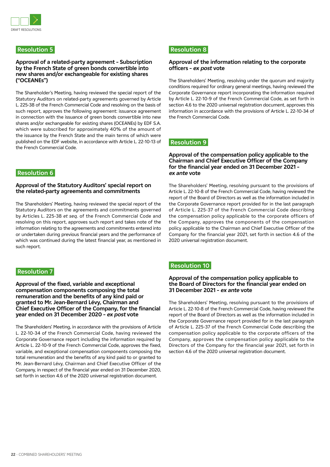

#### **Resolution 5**

#### **Approval of a related-party agreement – Subscription by the French State of green bonds convertible into new shares and/or exchangeable for existing shares ("OCEANEs")**

The Shareholder's Meeting, having reviewed the special report of the Statutory Auditors on related-party agreements governed by Article L. 225-38 of the French Commercial Code and resolving on the basis of such report, approves the following agreement: issuance agreement in connection with the issuance of green bonds convertible into new shares and/or exchangeable for existing shares (OCEANEs) by EDF S.A. which were subscribed for approximately 40% of the amount of the issuance by the French State and the main terms of which were published on the EDF website, in accordance with Article L. 22-10-13 of the French Commercial Code.

#### **Resolution 6**

#### **Approval of the Statutory Auditors' special report on the related-party agreements and commitments**

The Shareholders' Meeting, having reviewed the special report of the Statutory Auditors on the agreements and commitments governed by Articles L. 225-38 *et seq.* of the French Commercial Code and resolving on this report, approves such report and takes note of the information relating to the agreements and commitments entered into or undertaken during previous financial years and the performance of which was continued during the latest financial year, as mentioned in such report.

#### **Resolution 7**

**Approval of the fixed, variable and exceptional compensation components composing the total remuneration and the benefits of any kind paid or granted to Mr. Jean-Bernard Lévy, Chairman and Chief Executive Officer of the Company, for the financial year ended on 31 December 2020 – ex post vote**

The Shareholders' Meeting, in accordance with the provisions of Article L. 22-10-34 of the French Commercial Code, having reviewed the Corporate Governance report including the information required by Article L. 22-10-9 of the French Commercial Code, approves the fixed, variable, and exceptional compensation components composing the total remuneration and the benefits of any kind paid to or granted to Mr. Jean-Bernard Lévy, Chairman and Chief Executive Officer of the Company, in respect of the financial year ended on 31 December 2020, set forth in section 4.6 of the 2020 universal registration document.

#### **Resolution 8**

#### **Approval of the information relating to the corporate officers – ex post vote**

The Shareholders' Meeting, resolving under the quorum and majority conditions required for ordinary general meetings, having reviewed the Corporate Governance report incorporating the information required by Article L. 22-10-9 of the French Commercial Code, as set forth in section 4.6 to the 2020 universal registration document, approves this information in accordance with the provisions of Article L. 22-10-34 of the French Commercial Code.

#### **Resolution 9**

#### **Approval of the compensation policy applicable to the Chairman and Chief Executive Officer of the Company for the financial year ended on 31 December 2021 – ex ante vote**

The Shareholders' Meeting, resolving pursuant to the provisions of Article L. 22-10-8 of the French Commercial Code, having reviewed the report of the Board of Directors as well as the information included in the Corporate Governance report provided for in the last paragraph of Article L. 225-37 of the French Commercial Code describing the compensation policy applicable to the corporate officers of the Company, approves the components of the compensation policy applicable to the Chairman and Chief Executive Officer of the Company for the financial year 2021, set forth in section 4.6 of the 2020 universal registration document.

#### **Resolution 10**

#### **Approval of the compensation policy applicable to the Board of Directors for the financial year ended on 31 December 2021 – ex ante vote**

The Shareholders' Meeting, resolving pursuant to the provisions of Article L. 22-10-8 of the French Commercial Code, having reviewed the report of the Board of Directors as well as the information included in the Corporate Governance report provided for in the last paragraph of Article L. 225-37 of the French Commercial Code describing the compensation policy applicable to the corporate officers of the Company, approves the compensation policy applicable to the Directors of the Company for the financial year 2021, set forth in section 4.6 of the 2020 universal registration document.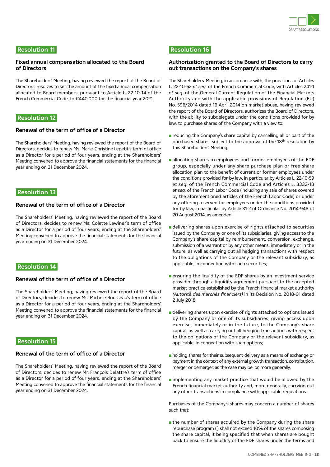

#### **Resolution 11**

#### **Fixed annual compensation allocated to the Board of Directors**

The Shareholders' Meeting, having reviewed the report of the Board of Directors, resolves to set the amount of the fixed annual compensation allocated to Board members, pursuant to Article L. 22-10-14 of the French Commercial Code, to €440,000 for the financial year 2021.

#### **Resolution 12**

#### **Renewal of the term of office of a Director**

The Shareholders' Meeting, having reviewed the report of the Board of Directors, decides to renew Ms. Marie-Christine Lepetit's term of office as a Director for a period of four years, ending at the Shareholders' Meeting convened to approve the financial statements for the financial year ending on 31 December 2024.

#### **Resolution 13**

#### **Renewal of the term of office of a Director**

The Shareholders' Meeting, having reviewed the report of the Board of Directors, decides to renew Ms. Colette Lewiner's term of office as a Director for a period of four years, ending at the Shareholders' Meeting convened to approve the financial statements for the financial year ending on 31 December 2024.

#### **Resolution 14**

#### **Renewal of the term of office of a Director**

The Shareholders' Meeting, having reviewed the report of the Board of Directors, decides to renew Ms. Michèle Rousseau's term of office as a Director for a period of four years, ending at the Shareholders' Meeting convened to approve the financial statements for the financial year ending on 31 December 2024.

#### **Resolution 15**

#### **Renewal of the term of office of a Director**

The Shareholders' Meeting, having reviewed the report of the Board of Directors, decides to renew Mr. François Delattre's term of office as a Director for a period of four years, ending at the Shareholders' Meeting convened to approve the financial statements for the financial year ending on 31 December 2024.

#### **Resolution 16**

#### **Authorization granted to the Board of Directors to carry out transactions on the Company's shares**

The Shareholders' Meeting, in accordance with, the provisions of Articles L. 22-10-62 *et seq.* of the French Commercial Code, with Articles 241-1 *et seq.* of the General Current Regulation of the Financial Markets Authority and with the applicable provisions of Regulation (EU) No. 596/2014 dated 16 April 2014 on market abuse, having reviewed the report of the Board of Directors, authorizes the Board of Directors, with the ability to subdelegate under the conditions provided for by law, to purchase shares of the Company with a view to:

- $\blacksquare$  reducing the Company's share capital by cancelling all or part of the purchased shares, subject to the approval of the 18<sup>th</sup> resolution by this Shareholders' Meeting;
- allocating shares to employees and former employees of the EDF group, especially under any share purchase plan or free share allocation plan to the benefit of current or former employees under the conditions provided for by law, in particular by Articles L. 22-10-59 *et seq*. of the French Commercial Code and Articles L. 3332-18 *et seq.* of the French Labor Code (including any sale of shares covered by the aforementioned articles of the French Labor Code) or under any offering reserved for employees under the conditions provided for by law, in particular by Article 31-2 of Ordinance No. 2014-948 of 20 August 2014, as amended;
- delivering shares upon exercise of rights attached to securities issued by the Company or one of its subsidiaries, giving access to the Company's share capital by reimbursement, conversion, exchange, submission of a warrant or by any other means, immediately or in the future; as well as carrying out all hedging transactions with respect to the obligations of the Company or the relevant subsidiary, as applicable, in connection with such securities;
- $\blacksquare$  ensuring the liquidity of the EDF shares by an investment service provider through a liquidity agreement pursuant to the accepted market practice established by the French financial market authority *(Autorité des marchés financiers)* in its Decision No. 2018-01 dated 2 July 2018;
- delivering shares upon exercise of rights attached to options issued by the Company or one of its subsidiaries, giving access upon exercise, immediately or in the future, to the Company's share capital; as well as carrying out all hedging transactions with respect to the obligations of the Company or the relevant subsidiary, as applicable, in connection with such options;
- n holding shares for their subsequent delivery as a means of exchange or payment in the context of any external growth transaction, contribution, merger or demerger, as the case may be; or, more generally,
- $\blacksquare$  implementing any market practice that would be allowed by the French financial market authority and, more generally, carrying out any other transactions in compliance with applicable regulations.

Purchases of the Company's shares may concern a number of shares such that:

n the number of shares acquired by the Company during the share repurchase program (i) shall not exceed 10% of the shares composing the share capital, it being specified that when shares are bought back to ensure the liquidity of the EDF shares under the terms and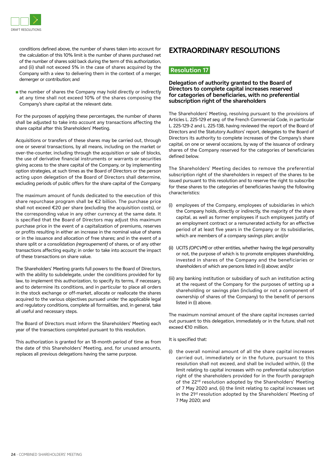

conditions defined above, the number of shares taken into account for the calculation of this 10% limit is the number of shares purchased net of the number of shares sold back during the term of this authorization, and (ii) shall not exceed 5% in the case of shares acquired by the Company with a view to delivering them in the context of a merger, demerger or contribution; and

 $\blacksquare$  the number of shares the Company may hold directly or indirectly at any time shall not exceed 10% of the shares composing the Company's share capital at the relevant date.

For the purposes of applying these percentages, the number of shares shall be adjusted to take into account any transactions affecting the share capital after this Shareholders' Meeting.

Acquisitions or transfers of these shares may be carried out, through one or several transactions, by all means, including on the market or over-the-counter, including through the acquisition or sale of blocks, the use of derivative financial instruments or warrants or securities giving access to the share capital of the Company, or by implementing option strategies, at such times as the Board of Directors or the person acting upon delegation of the Board of Directors shall determine, excluding periods of public offers for the share capital of the Company.

The maximum amount of funds dedicated to the execution of this share repurchase program shall be €2 billion. The purchase price shall not exceed €20 per share (excluding the acquisition costs), or the corresponding value in any other currency at the same date. It is specified that the Board of Directors may adjust this maximum purchase price in the event of a capitalization of premiums, reserves or profits resulting in either an increase in the nominal value of shares or in the issuance and allocation of free shares; and in the event of a share split or a consolidation *(regroupement)* of shares, or of any other transactions affecting equity; in order to take into account the impact of these transactions on share value.

The Shareholders' Meeting grants full powers to the Board of Directors, with the ability to subdelegate, under the conditions provided for by law, to implement this authorization, to specify its terms, if necessary, and to determine its conditions, and in particular to place all orders in the stock exchange or off-market, allocate or reallocate the shares acquired to the various objectives pursued under the applicable legal and regulatory conditions, complete all formalities, and, in general, take all useful and necessary steps.

The Board of Directors must inform the Shareholders' Meeting each year of the transactions completed pursuant to this resolution.

This authorization is granted for an 18-month period of time as from the date of this Shareholders' Meeting, and, for unused amounts, replaces all previous delegations having the same purpose.

### **EXTRAORDINARY RESOLUTIONS**

#### **Resolution 17**

#### **Delegation of authority granted to the Board of Directors to complete capital increases reserved for categories of beneficiaries, with no preferential subscription right of the shareholders**

The Shareholders' Meeting, resolving pursuant to the provisions of Articles L. 225-129 *et seq.* of the French Commercial Code, in particular L. 225-129-2 and L. 225-138, having reviewed the report of the Board of Directors and the Statutory Auditors' report, delegates to the Board of Directors its authority to complete increases of the Company's share capital, on one or several occasions, by way of the issuance of ordinary shares of the Company reserved for the categories of beneficiaries defined below.

The Shareholders' Meeting decides to remove the preferential subscription right of the shareholders in respect of the shares to be issued pursuant to this resolution and to reserve the right to subscribe for these shares to the categories of beneficiaries having the following characteristics:

- (i) employees of the Company, employees of subsidiaries in which the Company holds, directly or indirectly, the majority of the share capital, as well as former employees if such employees justify of an employment contract or a remunerated activity for an effective period of at least five years in the Company or its subsidiaries, which are members of a company savings plan; and/or
- (ii) UCITS *(OPCVM)* or other entities, whether having the legal personality or not, the purpose of which is to promote employees shareholding, invested in shares of the Company and the beneficiaries or shareholders of which are persons listed in (i) above; and/or
- (iii) any banking institution or subsidiary of such an institution acting at the request of the Company for the purposes of setting up a shareholding or savings plan (including or not a component of ownership of shares of the Company) to the benefit of persons listed in (i) above.

The maximum nominal amount of the share capital increases carried out pursuant to this delegation, immediately or in the future, shall not exceed €10 million.

It is specified that:

(i) the overall nominal amount of all the share capital increases carried out, immediately or in the future, pursuant to this resolution shall not exceed, and shall be included within, (i) the limit relating to capital increases with no preferential subscription right of the shareholders provided for in the fourth paragraph of the 22<sup>rd</sup> resolution adopted by the Shareholders' Meeting of 7 May 2020 and, (ii) the limit relating to capital increases set in the 21st resolution adopted by the Shareholders' Meeting of 7 May 2020; and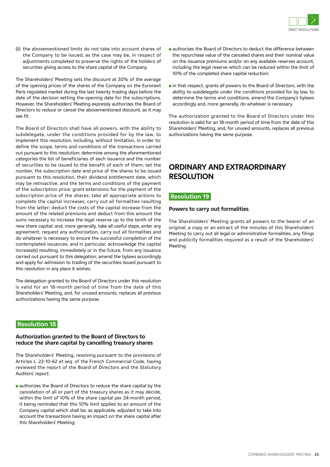

(ii) the abovementioned limits do not take into account shares of the Company to be issued, as the case may be, in respect of adjustments completed to preserve the rights of the holders of securities giving access to the share capital of the Company.

The Shareholders' Meeting sets the discount at 30% of the average of the opening prices of the shares of the Company on the Euronext Paris regulated market during the last twenty trading days before the date of the decision setting the opening date for the subscriptions. However, the Shareholders' Meeting expressly authorizes the Board of Directors to reduce or cancel the abovementioned discount, as it may see fit.

The Board of Directors shall have all powers, with the ability to subdelegate, under the conditions provided for by the law, to implement this resolution, including, without limitation, in order to: define the scope, terms and conditions of the transactions carried out pursuant to this resolution; determine among the aforementioned categories the list of beneficiaries of each issuance and the number of securities to be issued to the benefit of each of them; set the number, the subscription date and price of the shares to be issued pursuant to this resolution, their dividend entitlement date, which may be retroactive, and the terms and conditions of the payment of the subscription price; grant extensions for the payment of the subscription price of the shares; take all appropriate actions to complete the capital increases; carry out all formalities resulting from the latter; deduct the costs of the capital increase from the amount of the related premiums and deduct from this amount the sums necessary to increase the legal reserve up to the tenth of the new share capital; and, more generally, take all useful steps, enter any agreement, request any authorization, carry out all formalities and do whatever is necessary to ensure the successful completion of the contemplated issuances, and in particular, acknowledge the capital increase(s) resulting, immediately or in the future, from any issuance carried out pursuant to this delegation, amend the bylaws accordingly and apply for admission to trading of the securities issued pursuant to this resolution in any place it wishes.

The delegation granted to the Board of Directors under this resolution is valid for an 18-month period of time from the date of this Shareholders' Meeting, and, for unused amounts, replaces all previous authorizations having the same purpose.

#### **Resolution 18**

#### **Authorization granted to the Board of Directors to reduce the share capital by cancelling treasury shares**

The Shareholders' Meeting, resolving pursuant to the provisions of Articles L. 22-10-62 *et seq.* of the French Commercial Code, having reviewed the report of the Board of Directors and the Statutory Auditors' report:

authorizes the Board of Directors to reduce the share capital by the cancelation of all or part of the treasury shares as it may decide, within the limit of 10% of the share capital per 24-month period, it being reminded that this 10% limit applies to an amount of the Company capital which shall be, as applicable, adjusted to take into account the transactions having an impact on the share capital after this Shareholders' Meeting;

- authorizes the Board of Directors to deduct the difference between the repurchase value of the canceled shares and their nominal value on the issuance premiums and/or on any available reserves account, including the legal reserve which can be reduced within the limit of 10% of the completed share capital reduction;
- $\blacksquare$  in that respect, grants all powers to the Board of Directors, with the ability to subdelegate under the conditions provided for by law, to determine the terms and conditions, amend the Company's bylaws accordingly and, more generally, do whatever is necessary.

The authorization granted to the Board of Directors under this resolution is valid for an 18-month period of time from the date of this Shareholders' Meeting, and, for unused amounts, replaces all previous authorizations having the same purpose.

## **ORDINARY AND EXTRAORDINARY RESOLUTION**

#### **Resolution 19**

#### **Powers to carry out formalities**

The Shareholders' Meeting grants all powers to the bearer of an original, a copy or an extract of the minutes of this Shareholders' Meeting to carry out all legal or administrative formalities, any filings and publicity formalities required as a result of the Shareholders' Meeting.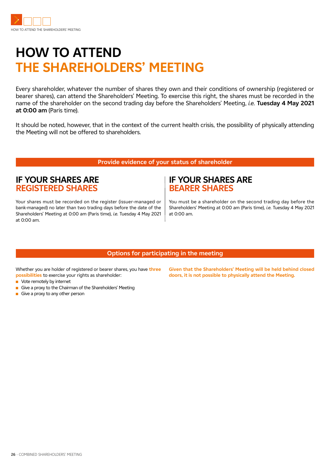

## **HOW TO ATTEND THE SHAREHOLDERS' MEETING**

Every shareholder, whatever the number of shares they own and their conditions of ownership (registered or bearer shares), can attend the Shareholders' Meeting. To exercise this right, the shares must be recorded in the name of the shareholder on the second trading day before the Shareholders' Meeting, *i.e.* **Tuesday 4 May 2021 at 0:00 am** (Paris time).

It should be noted, however, that in the context of the current health crisis, the possibility of physically attending the Meeting will not be offered to shareholders.

#### **Provide evidence of your status of shareholder**

## **IF YOUR SHARES ARE REGISTERED SHARES**

Your shares must be recorded on the register (issuer-managed or bank-managed) no later than two trading days before the date of the Shareholders' Meeting at 0:00 am (Paris time), *i.e.* Tuesday 4 May 2021 at 0:00 am.

### **IF YOUR SHARES ARE BEARER SHARES**

You must be a shareholder on the second trading day before the Shareholders' Meeting at 0:00 am (Paris time), *i.e.* Tuesday 4 May 2021 at 0:00 am.

#### **Options for participating in the meeting**

Whether you are holder of registered or bearer shares, you have **three possibilities** to exercise your rights as shareholder:

- Vote remotely by internet
- Give a proxy to the Chairman of the Shareholders' Meeting
- Give a proxy to any other person

**Given that the Shareholders' Meeting will be held behind closed doors, it is not possible to physically attend the Meeting.**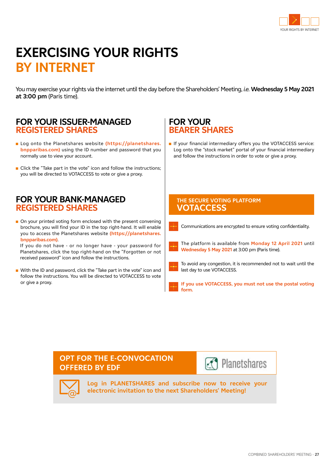

## **EXERCISING YOUR RIGHTS BY INTERNET**

You may exercise your rights via the internet until the day before the Shareholders' Meeting, *i.e.* **Wednesday 5 May 2021 at 3:00 pm** (Paris time).

### **FOR YOUR ISSUER-MANAGED REGISTERED SHARES**

- Log onto the Planetshares website (https://planetshares. **bnpparibas.com)** using the ID number and password that you normally use to view your account.
- Click the "Take part in the vote" icon and follow the instructions: you will be directed to VOTACCESS to vote or give a proxy.

### **FOR YOUR BANK-MANAGED REGISTERED SHARES**

■ On your printed voting form enclosed with the present convening brochure, you will find your ID in the top right-hand. It will enable you to access the Planetshares website **(https://planetshares. bnpparibas.com)**.

 If you do not have - or no longer have - your password for Planetshares, click the top right-hand on the "Forgotten or not received password" icon and follow the instructions.

■ With the ID and password, click the "Take part in the vote" icon and follow the instructions. You will be directed to VOTACCESS to vote or give a proxy.

## **FOR YOUR BEARER SHARES**

■ If your financial intermediary offers you the VOTACCESS service: Log onto the "stock market" portal of your financial intermediary and follow the instructions in order to vote or give a proxy.

#### **THE SECURE VOTING PLATFORM VOTACCESS**

Communications are encrypted to ensure voting confidentiality.

- The platform is available from **Monday 12 April 2021** until **Wednesday 5 May 2021** at 3:00 pm (Paris time).
	- To avoid any congestion, it is recommended not to wait until the last day to use VOTACCESS.

**If you use VOTACCESS, you must not use the postal voting form.**

### **OPT FOR THE E-CONVOCATION OFFERED BY EDF**





**Log in PLANETSHARES and subscribe now to receive your electronic invitation to the next Shareholders' Meeting!**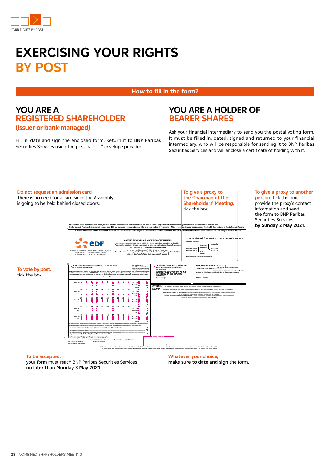

## **EXERCISING YOUR RIGHTS BY POST**

**How to fill in the form?**

### **YOU ARE A REGISTERED SHAREHOLDER (issuer or bank-managed)**

Fill in, date and sign the enclosed form. Return it to BNP Paribas Securities Services using the post-paid "T" envelope provided.

## **YOU ARE A HOLDER OF BEARER SHARES**

Ask your financial intermediary to send you the postal voting form. It must be filled in, dated, signed and returned to your financial intermediary, who will be responsible for sending it to BNP Paribas Securities Services and will enclose a certificate of holding with it.



**no later than Monday 3 May 2021**.

**make sure to date and sign** the form.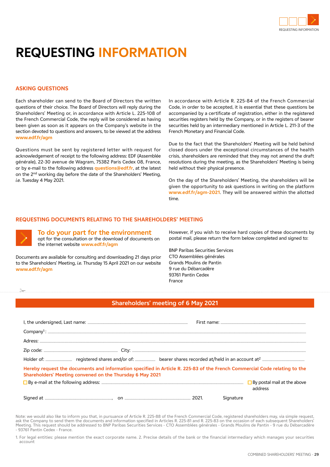

## **REQUESTING INFORMATION**

#### **ASKING QUESTIONS**

Each shareholder can send to the Board of Directors the written questions of their choice. The Board of Directors will reply during the Shareholders' Meeting or, in accordance with Article L. 225-108 of the French Commercial Code, the reply will be considered as having been given as soon as it appears on the Company's website in the section devoted to questions and answers, to be viewed at the address **www.edf.fr/agm**

Questions must be sent by registered letter with request for acknowledgement of receipt to the following address: EDF (Assemblée générale), 22-30 avenue de Wagram, 75382 Paris Cedex 08, France, or by e-mail to the following address **questions@edf.fr**, at the latest on the 2<sup>nd</sup> working day before the date of the Shareholders' Meeting, *i.e.* Tuesday 4 May 2021.

In accordance with Article R. 225-84 of the French Commercial Code, in order to be accepted, it is essential that these questions be accompanied by a certificate of registration, either in the registered securities registers held by the Company, or in the registers of bearer securities held by an intermediary mentioned in Article L. 211-3 of the French Monetary and Financial Code.

Due to the fact that the Shareholders' Meeting will be held behind closed doors under the exceptional circumstances of the health crisis, shareholders are reminded that they may not amend the draft resolutions during the meeting, as the Shareholders' Meeting is being held without their physical presence.

On the day of the Shareholders' Meeting, the shareholders will be given the opportunity to ask questions in writing on the platform **www.edf.fr/agm-2021**. They will be answered within the allotted time.

#### **REQUESTING DOCUMENTS RELATING TO THE SHAREHOLDERS' MEETING**



**To do your part for the environment** opt for the consultation or the download of documents on the internet website **www.edf.fr/agm**

Documents are available for consulting and downloading 21 days prior to the Shareholders' Meeting, *i.e.* Thursday 15 April 2021 on our website **www.edf.fr/agm**

However, if you wish to receive hard copies of these documents by postal mail, please return the form below completed and signed to:

BNP Paribas Securities Services CTO Assemblées générales Grands Moulins de Pantin 9 rue du Débarcadère 93761 Pantin Cedex France

✁

#### **Shareholders' meeting of 6 May 2021**

| Hereby request the documents and information specified in Article R. 225-83 of the French Commercial Code relating to the<br>Shareholders' Meeting convened on the Thursday 6 May 2021 |           |         |
|----------------------------------------------------------------------------------------------------------------------------------------------------------------------------------------|-----------|---------|
| □ By e-mail at the following address:  □ By e-mail at the above above above above above above above above above                                                                        |           | address |
|                                                                                                                                                                                        | Signature |         |

Note: we would also like to inform you that, in pursuance of Article R. 225-88 of the French Commercial Code, registered shareholders may, via simple request, ask the Company to send them the documents and information specified in Articles R. 225-81 and R. 225-83 on the occasion of each subsequent Shareholders' Meeting. This request should be addressed to BNP Paribas Securities Services - CTO Assemblées générales - Grands Moulins de Pantin - 9 rue du Débarcadère - 93761 Pantin Cedex - France.

1. For legal entities: please mention the exact corporate name. 2. Precise details of the bank or the financial intermediary which manages your securities account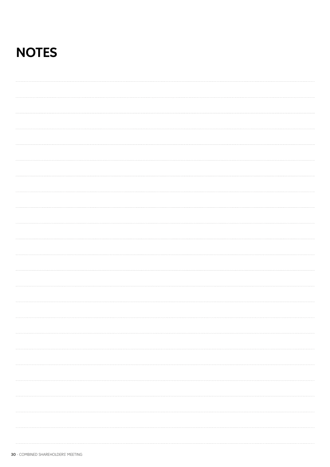## **NOTES**